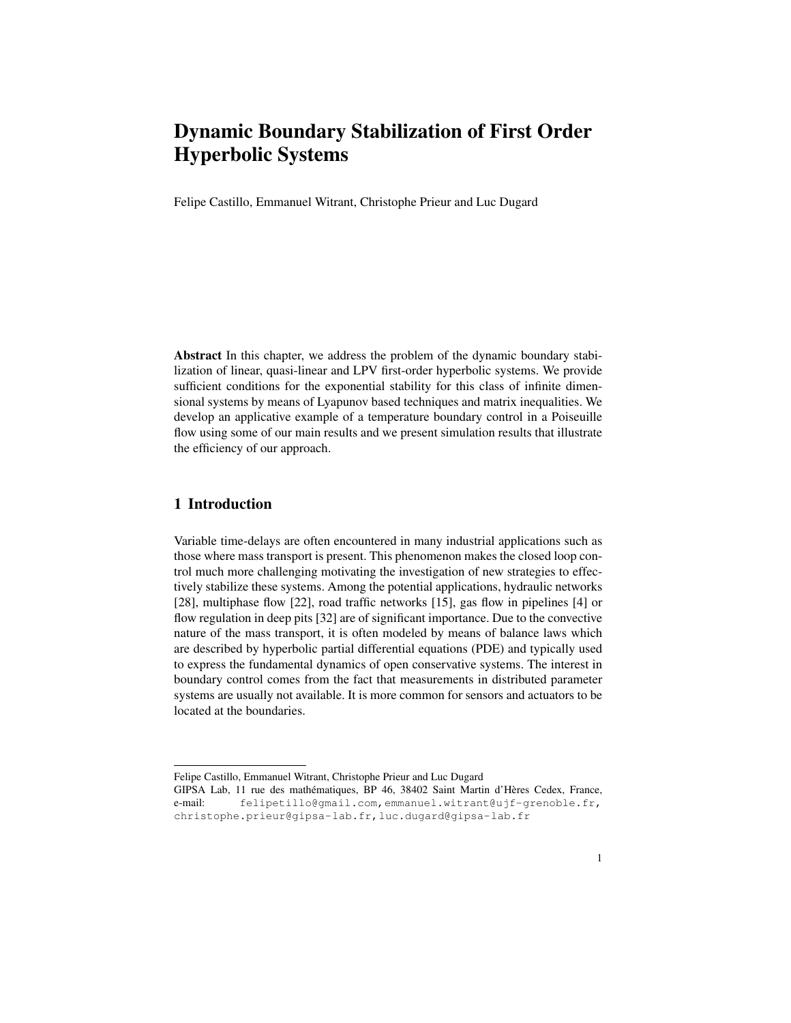Felipe Castillo, Emmanuel Witrant, Christophe Prieur and Luc Dugard

Abstract In this chapter, we address the problem of the dynamic boundary stabilization of linear, quasi-linear and LPV first-order hyperbolic systems. We provide sufficient conditions for the exponential stability for this class of infinite dimensional systems by means of Lyapunov based techniques and matrix inequalities. We develop an applicative example of a temperature boundary control in a Poiseuille flow using some of our main results and we present simulation results that illustrate the efficiency of our approach.

# 1 Introduction

Variable time-delays are often encountered in many industrial applications such as those where mass transport is present. This phenomenon makes the closed loop control much more challenging motivating the investigation of new strategies to effectively stabilize these systems. Among the potential applications, hydraulic networks [28], multiphase flow [22], road traffic networks [15], gas flow in pipelines [4] or flow regulation in deep pits [32] are of significant importance. Due to the convective nature of the mass transport, it is often modeled by means of balance laws which are described by hyperbolic partial differential equations (PDE) and typically used to express the fundamental dynamics of open conservative systems. The interest in boundary control comes from the fact that measurements in distributed parameter systems are usually not available. It is more common for sensors and actuators to be located at the boundaries.

Felipe Castillo, Emmanuel Witrant, Christophe Prieur and Luc Dugard

GIPSA Lab, 11 rue des mathématiques, BP 46, 38402 Saint Martin d'Hères Cedex, France, e-mail: felipetillo@gmail.com,emmanuel.witrant@ujf-grenoble.fr, christophe.prieur@gipsa-lab.fr,luc.dugard@gipsa-lab.fr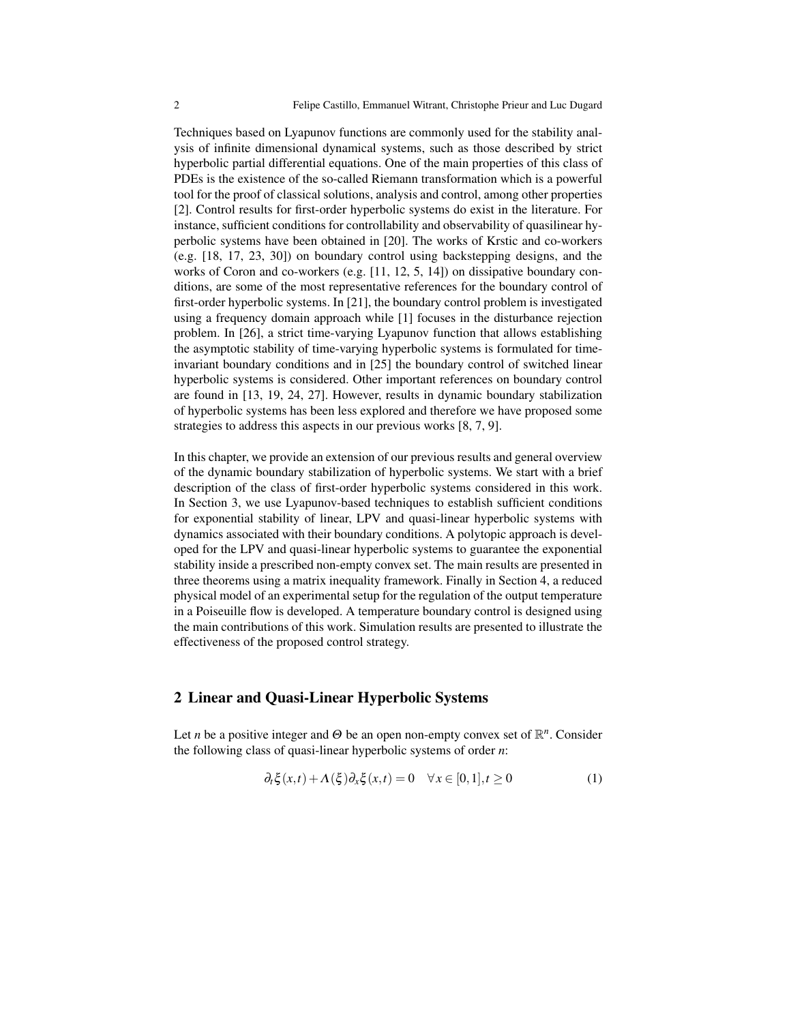Techniques based on Lyapunov functions are commonly used for the stability analysis of infinite dimensional dynamical systems, such as those described by strict hyperbolic partial differential equations. One of the main properties of this class of PDEs is the existence of the so-called Riemann transformation which is a powerful tool for the proof of classical solutions, analysis and control, among other properties [2]. Control results for first-order hyperbolic systems do exist in the literature. For instance, sufficient conditions for controllability and observability of quasilinear hyperbolic systems have been obtained in [20]. The works of Krstic and co-workers (e.g. [18, 17, 23, 30]) on boundary control using backstepping designs, and the works of Coron and co-workers (e.g. [11, 12, 5, 14]) on dissipative boundary conditions, are some of the most representative references for the boundary control of first-order hyperbolic systems. In [21], the boundary control problem is investigated using a frequency domain approach while [1] focuses in the disturbance rejection problem. In [26], a strict time-varying Lyapunov function that allows establishing the asymptotic stability of time-varying hyperbolic systems is formulated for timeinvariant boundary conditions and in [25] the boundary control of switched linear hyperbolic systems is considered. Other important references on boundary control are found in [13, 19, 24, 27]. However, results in dynamic boundary stabilization of hyperbolic systems has been less explored and therefore we have proposed some strategies to address this aspects in our previous works [8, 7, 9].

In this chapter, we provide an extension of our previous results and general overview of the dynamic boundary stabilization of hyperbolic systems. We start with a brief description of the class of first-order hyperbolic systems considered in this work. In Section 3, we use Lyapunov-based techniques to establish sufficient conditions for exponential stability of linear, LPV and quasi-linear hyperbolic systems with dynamics associated with their boundary conditions. A polytopic approach is developed for the LPV and quasi-linear hyperbolic systems to guarantee the exponential stability inside a prescribed non-empty convex set. The main results are presented in three theorems using a matrix inequality framework. Finally in Section 4, a reduced physical model of an experimental setup for the regulation of the output temperature in a Poiseuille flow is developed. A temperature boundary control is designed using the main contributions of this work. Simulation results are presented to illustrate the effectiveness of the proposed control strategy.

#### 2 Linear and Quasi-Linear Hyperbolic Systems

Let *n* be a positive integer and  $\Theta$  be an open non-empty convex set of  $\mathbb{R}^n$ . Consider the following class of quasi-linear hyperbolic systems of order *n*:

$$
\partial_t \xi(x,t) + \Lambda(\xi) \partial_x \xi(x,t) = 0 \quad \forall x \in [0,1], t \ge 0 \tag{1}
$$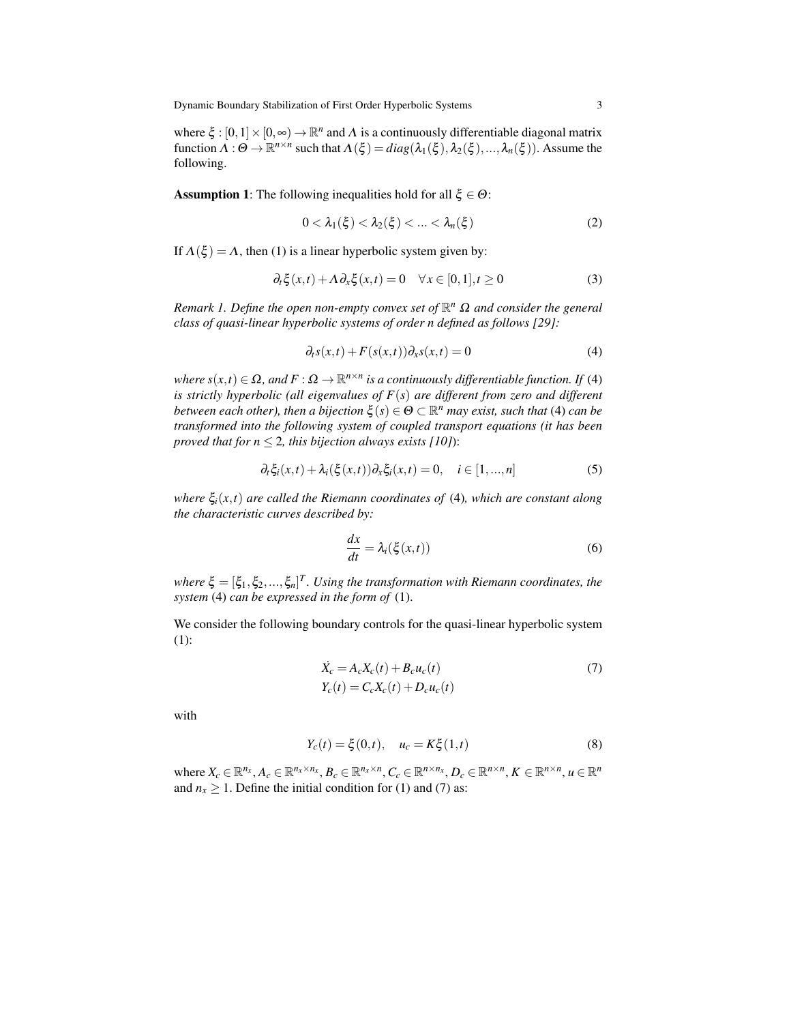where  $\xi : [0,1] \times [0,\infty) \to \mathbb{R}^n$  and  $\Lambda$  is a continuously differentiable diagonal matrix function  $\Lambda: \Theta \to \mathbb{R}^{n \times n}$  such that  $\Lambda(\xi) = diag(\lambda_1(\xi), \lambda_2(\xi), ..., \lambda_n(\xi))$ . Assume the following.

**Assumption 1:** The following inequalities hold for all  $\xi \in \Theta$ :

$$
0 < \lambda_1(\xi) < \lambda_2(\xi) < \ldots < \lambda_n(\xi)
$$
 (2)

If  $\Lambda(\xi) = \Lambda$ , then (1) is a linear hyperbolic system given by:

$$
\partial_t \xi(x,t) + \Lambda \partial_x \xi(x,t) = 0 \quad \forall x \in [0,1], t \ge 0 \tag{3}
$$

*Remark 1. Define the open non-empty convex set of* R *<sup>n</sup>* Ω *and consider the general class of quasi-linear hyperbolic systems of order n defined as follows [29]:*

$$
\partial_t s(x,t) + F(s(x,t))\partial_x s(x,t) = 0 \tag{4}
$$

*where*  $s(x,t) \in \Omega$ , and  $F: \Omega \to \mathbb{R}^{n \times n}$  is a continuously differentiable function. If (4) *is strictly hyperbolic (all eigenvalues of F*(*s*) *are different from zero and different*  $b$ etween each other), then a bijection  $\xi(s) \in \Theta \subset \mathbb{R}^n$  may exist, such that (4) can be *transformed into the following system of coupled transport equations (it has been proved that for*  $n \leq 2$ *, this bijection always exists [10])*:

$$
\partial_t \xi_i(x,t) + \lambda_i(\xi(x,t)) \partial_x \xi_i(x,t) = 0, \quad i \in [1,...,n]
$$
\n(5)

*where* ξ*i*(*x*,*t*) *are called the Riemann coordinates of* (4)*, which are constant along the characteristic curves described by:*

$$
\frac{dx}{dt} = \lambda_i(\xi(x,t))\tag{6}
$$

where  $\xi = [\xi_1, \xi_2, ..., \xi_n]^T$ . Using the transformation with Riemann coordinates, the *system* (4) *can be expressed in the form of* (1).

We consider the following boundary controls for the quasi-linear hyperbolic system (1):

$$
\dot{X}_c = A_c X_c(t) + B_c u_c(t)
$$
\n
$$
Y_c(t) = C_c X_c(t) + D_c u_c(t)
$$
\n(7)

with

$$
Y_c(t) = \xi(0, t), \quad u_c = K\xi(1, t)
$$
\n(8)

where  $X_c \in \mathbb{R}^{n_x}, A_c \in \mathbb{R}^{n_x \times n_x}, B_c \in \mathbb{R}^{n_x \times n}, C_c \in \mathbb{R}^{n \times n_x}, D_c \in \mathbb{R}^{n \times n}, K \in \mathbb{R}^{n \times n}, u \in \mathbb{R}^n$ and  $n_x \geq 1$ . Define the initial condition for (1) and (7) as: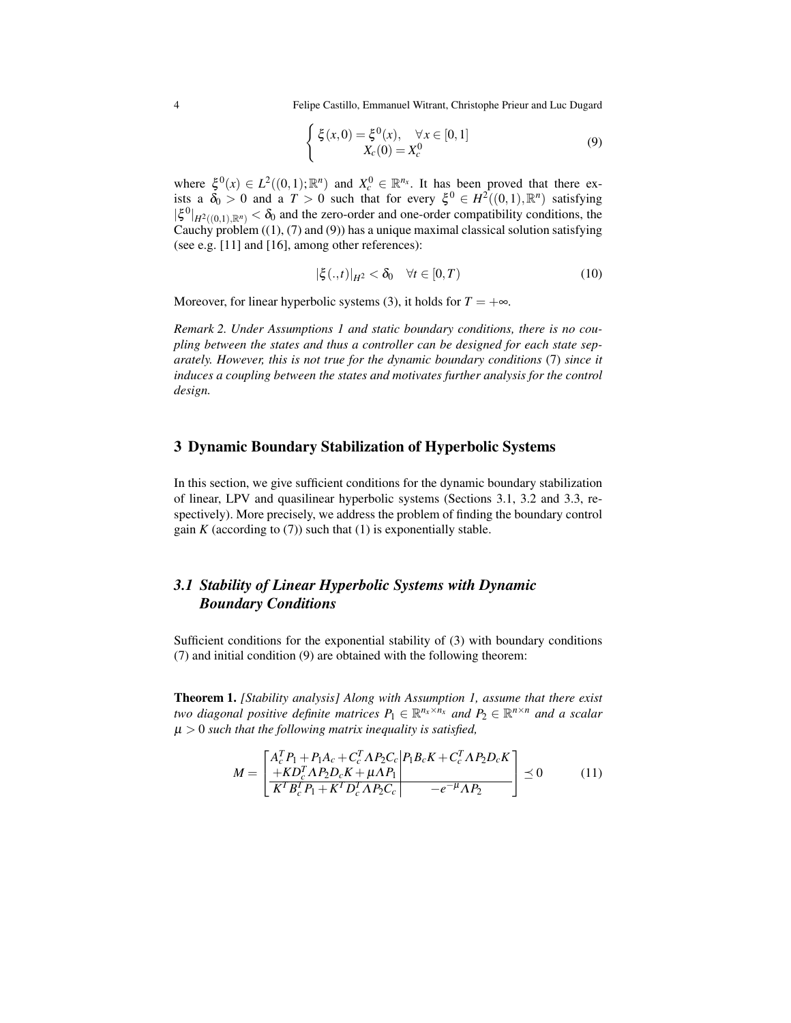$$
\begin{cases} \xi(x,0) = \xi^{0}(x), & \forall x \in [0,1] \\ X_c(0) = X_c^{0} \end{cases}
$$
 (9)

where  $\xi^0(x) \in L^2((0,1); \mathbb{R}^n)$  and  $X_c^0 \in \mathbb{R}^{n_x}$ . It has been proved that there exists a  $\delta_0 > 0$  and a  $T > 0$  such that for every  $\xi^0 \in H^2((0,1), \mathbb{R}^n)$  satisfying  $|\xi^0|_{H^2((0,1),\mathbb{R}^n)} < \delta_0$  and the zero-order and one-order compatibility conditions, the Cauchy problem  $((1), (7)$  and  $(9)$ ) has a unique maximal classical solution satisfying (see e.g. [11] and [16], among other references):

$$
|\xi(.,t)|_{H^2} < \delta_0 \quad \forall t \in [0,T)
$$
\n
$$
(10)
$$

Moreover, for linear hyperbolic systems (3), it holds for  $T = +\infty$ .

*Remark 2. Under Assumptions 1 and static boundary conditions, there is no coupling between the states and thus a controller can be designed for each state separately. However, this is not true for the dynamic boundary conditions* (7) *since it induces a coupling between the states and motivates further analysis for the control design.*

#### 3 Dynamic Boundary Stabilization of Hyperbolic Systems

In this section, we give sufficient conditions for the dynamic boundary stabilization of linear, LPV and quasilinear hyperbolic systems (Sections 3.1, 3.2 and 3.3, respectively). More precisely, we address the problem of finding the boundary control gain  $K$  (according to  $(7)$ ) such that  $(1)$  is exponentially stable.

# *3.1 Stability of Linear Hyperbolic Systems with Dynamic Boundary Conditions*

Sufficient conditions for the exponential stability of (3) with boundary conditions (7) and initial condition (9) are obtained with the following theorem:

Theorem 1. *[Stability analysis] Along with Assumption 1, assume that there exist two diagonal positive definite matrices*  $P_1 \in \mathbb{R}^{n_x \times n_x}$  and  $P_2 \in \mathbb{R}^{n \times n}$  and a scalar µ > 0 *such that the following matrix inequality is satisfied,*

$$
M = \begin{bmatrix} A_c^T P_1 + P_1 A_c + C_c^T \Lambda P_2 C_c & P_1 B_c K + C_c^T \Lambda P_2 D_c K \\ + K D_c^T \Lambda P_2 D_c K + \mu \Lambda P_1 & E_c^T \Lambda P_2 C_c & -e^{-\mu} \Lambda P_2 \end{bmatrix} \preceq 0 \tag{11}
$$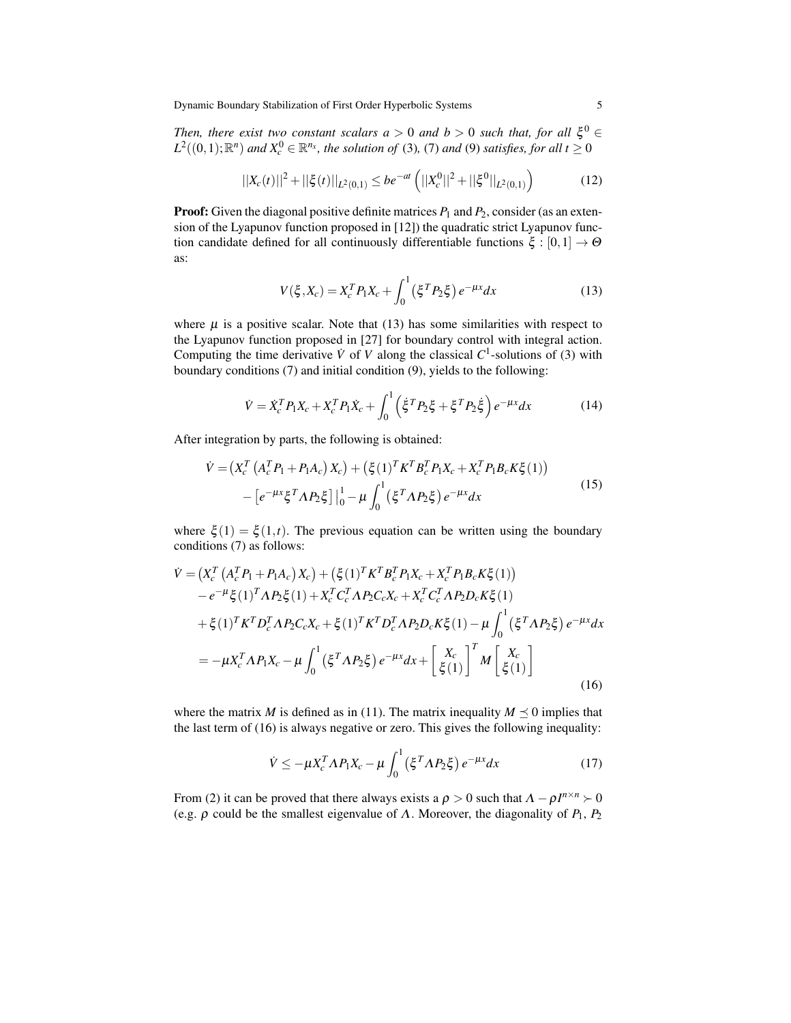*Then, there exist two constant scalars a* > 0 *and*  $b$  > 0 *such that, for all*  $\xi^0$   $\in$  $L^2((0,1); \mathbb{R}^n)$  and  $X_c^0 \in \mathbb{R}^{n_x}$ , the solution of (3), (7) and (9) satisfies, for all  $t \geq 0$ 

$$
||X_c(t)||^2 + ||\xi(t)||_{L^2(0,1)} \le be^{-at} \left( ||X_c^0||^2 + ||\xi^0||_{L^2(0,1)} \right) \tag{12}
$$

**Proof:** Given the diagonal positive definite matrices  $P_1$  and  $P_2$ , consider (as an extension of the Lyapunov function proposed in [12]) the quadratic strict Lyapunov function candidate defined for all continuously differentiable functions  $\xi : [0,1] \rightarrow \Theta$ as:

$$
V(\xi, X_c) = X_c^T P_1 X_c + \int_0^1 (\xi^T P_2 \xi) e^{-\mu x} dx
$$
 (13)

where  $\mu$  is a positive scalar. Note that (13) has some similarities with respect to the Lyapunov function proposed in [27] for boundary control with integral action. Computing the time derivative  $\dot{V}$  of *V* along the classical  $C^1$ -solutions of (3) with boundary conditions (7) and initial condition (9), yields to the following:

$$
\dot{V} = \dot{X}_c^T P_1 X_c + X_c^T P_1 \dot{X}_c + \int_0^1 \left( \dot{\xi}^T P_2 \xi + \xi^T P_2 \dot{\xi} \right) e^{-\mu x} dx \tag{14}
$$

After integration by parts, the following is obtained:

$$
\dot{V} = (X_c^T (A_c^T P_1 + P_1 A_c) X_c) + (\xi (1)^T K^T B_c^T P_1 X_c + X_c^T P_1 B_c K \xi (1))
$$
  
– [e<sup>- $\mu x \xi^T \Lambda P_2 \xi$ ] |<sup>1</sup><sub>0</sub> –  $\mu \int_0^1 (\xi^T \Lambda P_2 \xi) e^{-\mu x} dx$  (15)</sup>

where  $\xi(1) = \xi(1,t)$ . The previous equation can be written using the boundary conditions (7) as follows:

$$
\dot{V} = (X_c^T (A_c^T P_1 + P_1 A_c) X_c) + (\xi (1)^T K^T B_c^T P_1 X_c + X_c^T P_1 B_c K \xi (1))
$$
  
\n
$$
- e^{-\mu} \xi (1)^T A P_2 \xi (1) + X_c^T C_c^T A P_2 C_c X_c + X_c^T C_c^T A P_2 D_c K \xi (1)
$$
  
\n
$$
+ \xi (1)^T K^T D_c^T A P_2 C_c X_c + \xi (1)^T K^T D_c^T A P_2 D_c K \xi (1) - \mu \int_0^1 (\xi^T A P_2 \xi) e^{-\mu x} dx
$$
  
\n
$$
= -\mu X_c^T A P_1 X_c - \mu \int_0^1 (\xi^T A P_2 \xi) e^{-\mu x} dx + \left[ \frac{X_c}{\xi (1)} \right]^T M \left[ \frac{X_c}{\xi (1)} \right]
$$
  
\n(16)

where the matrix *M* is defined as in (11). The matrix inequality  $M \leq 0$  implies that the last term of (16) is always negative or zero. This gives the following inequality:

$$
\dot{V} \le -\mu X_c^T \Lambda P_1 X_c - \mu \int_0^1 (\xi^T \Lambda P_2 \xi) e^{-\mu x} dx \tag{17}
$$

From (2) it can be proved that there always exists a  $\rho > 0$  such that  $\Lambda - \rho I^{n \times n} > 0$ (e.g.  $\rho$  could be the smallest eigenvalue of  $\Lambda$ . Moreover, the diagonality of  $P_1$ ,  $P_2$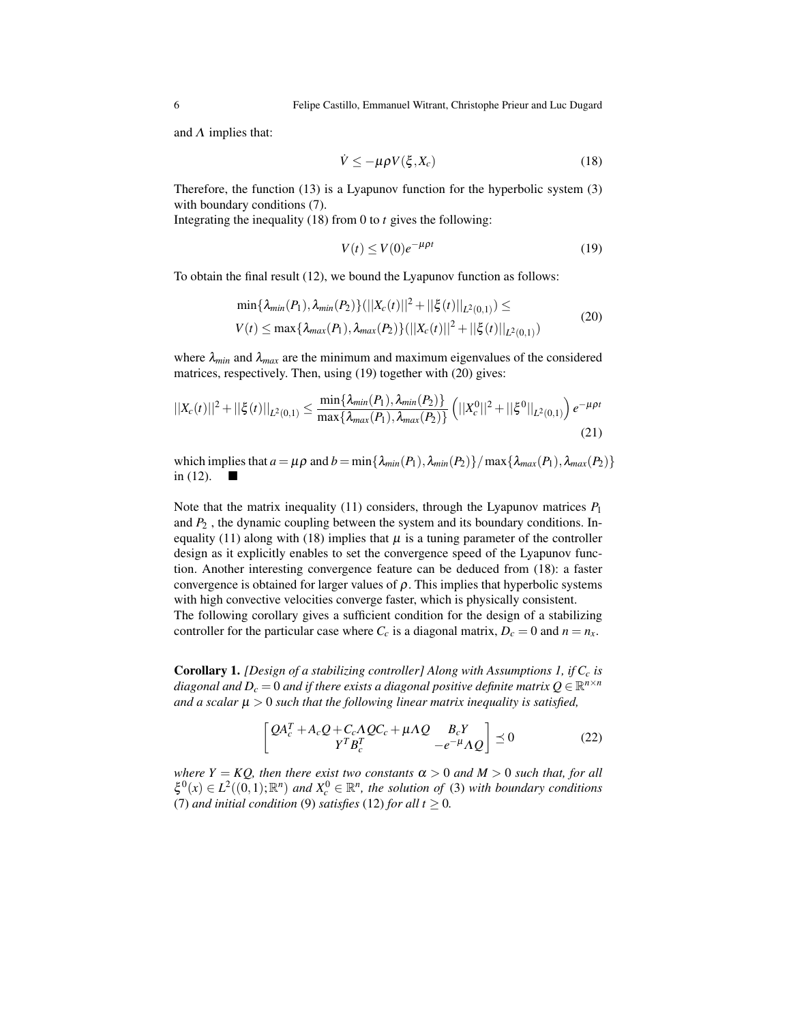and  $\Lambda$  implies that:

$$
\dot{V} \le -\mu \rho V(\xi, X_c) \tag{18}
$$

Therefore, the function (13) is a Lyapunov function for the hyperbolic system (3) with boundary conditions (7).

Integrating the inequality (18) from 0 to *t* gives the following:

$$
V(t) \le V(0)e^{-\mu \rho t} \tag{19}
$$

To obtain the final result (12), we bound the Lyapunov function as follows:

$$
\min\{\lambda_{min}(P_1), \lambda_{min}(P_2)\} (||X_c(t)||^2 + ||\xi(t)||_{L^2(0,1)}) \le
$$
  

$$
V(t) \le \max\{\lambda_{max}(P_1), \lambda_{max}(P_2)\} (||X_c(t)||^2 + ||\xi(t)||_{L^2(0,1)})
$$
 (20)

where  $\lambda_{min}$  and  $\lambda_{max}$  are the minimum and maximum eigenvalues of the considered matrices, respectively. Then, using (19) together with (20) gives:

$$
||X_c(t)||^2 + ||\xi(t)||_{L^2(0,1)} \le \frac{\min\{\lambda_{min}(P_1), \lambda_{min}(P_2)\}}{\max\{\lambda_{max}(P_1), \lambda_{max}(P_2)\}} \left(||X_c^0||^2 + ||\xi^0||_{L^2(0,1)}\right) e^{-\mu \rho t}
$$
\n(21)

which implies that  $a = \mu \rho$  and  $b = \min{\{\lambda_{min}(P_1), \lambda_{min}(P_2)\}} / \max{\{\lambda_{max}(P_1), \lambda_{max}(P_2)\}}$ in (12).  $\blacksquare$ 

Note that the matrix inequality (11) considers, through the Lyapunov matrices  $P_1$ and *P*<sup>2</sup> , the dynamic coupling between the system and its boundary conditions. Inequality (11) along with (18) implies that  $\mu$  is a tuning parameter of the controller design as it explicitly enables to set the convergence speed of the Lyapunov function. Another interesting convergence feature can be deduced from (18): a faster convergence is obtained for larger values of  $\rho$ . This implies that hyperbolic systems with high convective velocities converge faster, which is physically consistent. The following corollary gives a sufficient condition for the design of a stabilizing controller for the particular case where  $C_c$  is a diagonal matrix,  $D_c = 0$  and  $n = n_x$ .

Corollary 1. *[Design of a stabilizing controller] Along with Assumptions 1, if C<sup>c</sup> is* diagonal and  $D_c = 0$  and if there exists a diagonal positive definite matrix  $Q \in \mathbb{R}^{n \times n}$ *and a scalar* µ > 0 *such that the following linear matrix inequality is satisfied,*

$$
\begin{bmatrix} QA_c^T + A_cQ + C_c\Lambda QC_c + \mu\Lambda Q & B_cY \\ Y^T B_c^T & -e^{-\mu}\Lambda Q \end{bmatrix} \preceq 0
$$
 (22)

*where*  $Y = KQ$ *, then there exist two constants*  $\alpha > 0$  *and*  $M > 0$  *such that, for all*  $\xi^0(x) \in L^2((0,1); \mathbb{R}^n)$  and  $X_c^0 \in \mathbb{R}^n$ , the solution of (3) with boundary conditions (7) *and initial condition* (9) *satisfies* (12) *for all*  $t \ge 0$ *.*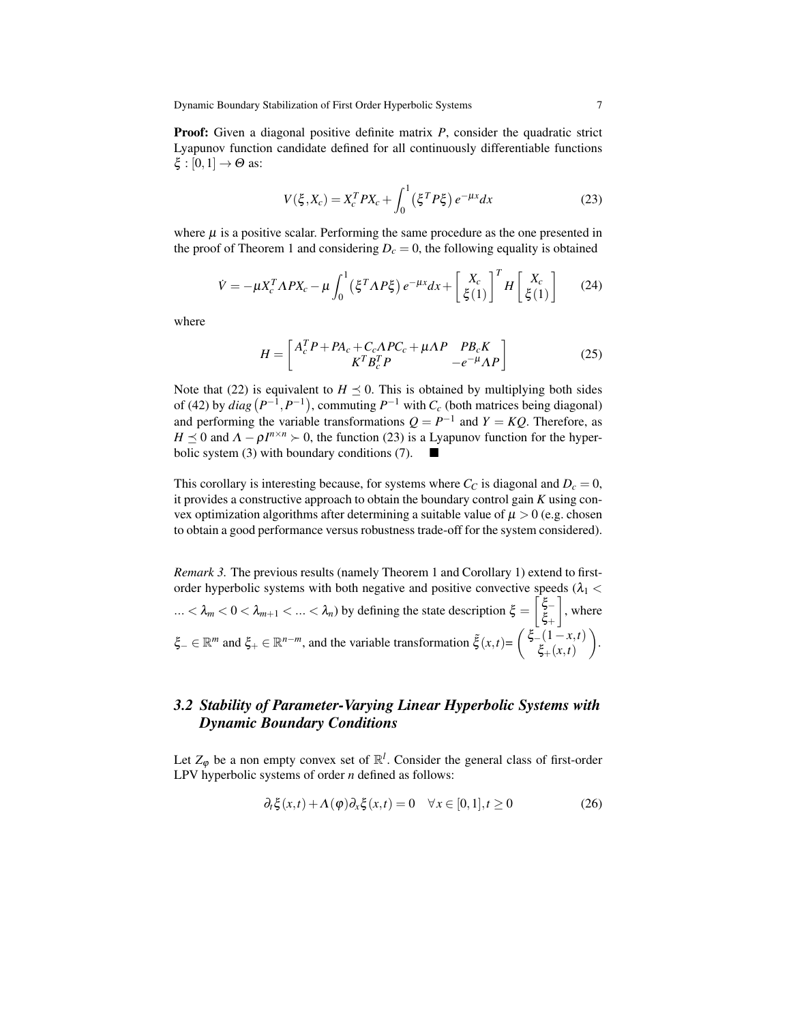**Proof:** Given a diagonal positive definite matrix *P*, consider the quadratic strict Lyapunov function candidate defined for all continuously differentiable functions  $\xi : [0,1] \rightarrow \Theta$  as:

$$
V(\xi, X_c) = X_c^T P X_c + \int_0^1 (\xi^T P \xi) e^{-\mu x} dx
$$
 (23)

where  $\mu$  is a positive scalar. Performing the same procedure as the one presented in the proof of Theorem 1 and considering  $D_c = 0$ , the following equality is obtained

$$
\dot{V} = -\mu X_c^T \Lambda P X_c - \mu \int_0^1 (\xi^T \Lambda P \xi) e^{-\mu x} dx + \left[ \frac{X_c}{\xi(1)} \right]^T H \left[ \frac{X_c}{\xi(1)} \right] \tag{24}
$$

where

$$
H = \begin{bmatrix} A_c^T P + P A_c + C_c \Lambda P C_c + \mu \Lambda P & P B_c K \\ K^T B_c^T P & -e^{-\mu} \Lambda P \end{bmatrix}
$$
 (25)

Note that (22) is equivalent to  $H \leq 0$ . This is obtained by multiplying both sides of (42) by  $diag(P^{-1}, P^{-1})$ , commuting  $P^{-1}$  with  $C_c$  (both matrices being diagonal) and performing the variable transformations  $Q = P^{-1}$  and  $Y = KQ$ . Therefore, as *H*  $\leq$  0 and  $\Lambda - \rho I^{n \times n}$   $>$  0, the function (23) is a Lyapunov function for the hyperbolic system (3) with boundary conditions (7).

This corollary is interesting because, for systems where  $C_C$  is diagonal and  $D_c = 0$ , it provides a constructive approach to obtain the boundary control gain *K* using convex optimization algorithms after determining a suitable value of  $\mu > 0$  (e.g. chosen to obtain a good performance versus robustness trade-off for the system considered).

*Remark 3.* The previous results (namely Theorem 1 and Corollary 1) extend to firstorder hyperbolic systems with both negative and positive convective speeds  $(\lambda_1$  <  $... < \lambda_m < 0 < \lambda_{m+1} < ... < \lambda_n$ ) by defining the state description  $\xi = \begin{bmatrix} \xi - 1 \\ \xi - 1 \end{bmatrix}$ ξ+  $\big]$ , where  $\xi$ <sup>*-*</sup> ∈  $\mathbb{R}^m$  and  $\xi$ <sup>*+*</sup> ∈  $\mathbb{R}^{n-m}$ , and the variable transformation  $\tilde{\xi}(x,t) = \begin{cases} \xi - (1-x,t) \\ \xi - (x-t) \end{cases}$ ξ+(*x*,*t*) .

# *3.2 Stability of Parameter-Varying Linear Hyperbolic Systems with Dynamic Boundary Conditions*

Let  $Z_{\varphi}$  be a non empty convex set of  $\mathbb{R}^l$ . Consider the general class of first-order LPV hyperbolic systems of order *n* defined as follows:

$$
\partial_t \xi(x,t) + \Lambda(\varphi) \partial_x \xi(x,t) = 0 \quad \forall x \in [0,1], t \ge 0 \tag{26}
$$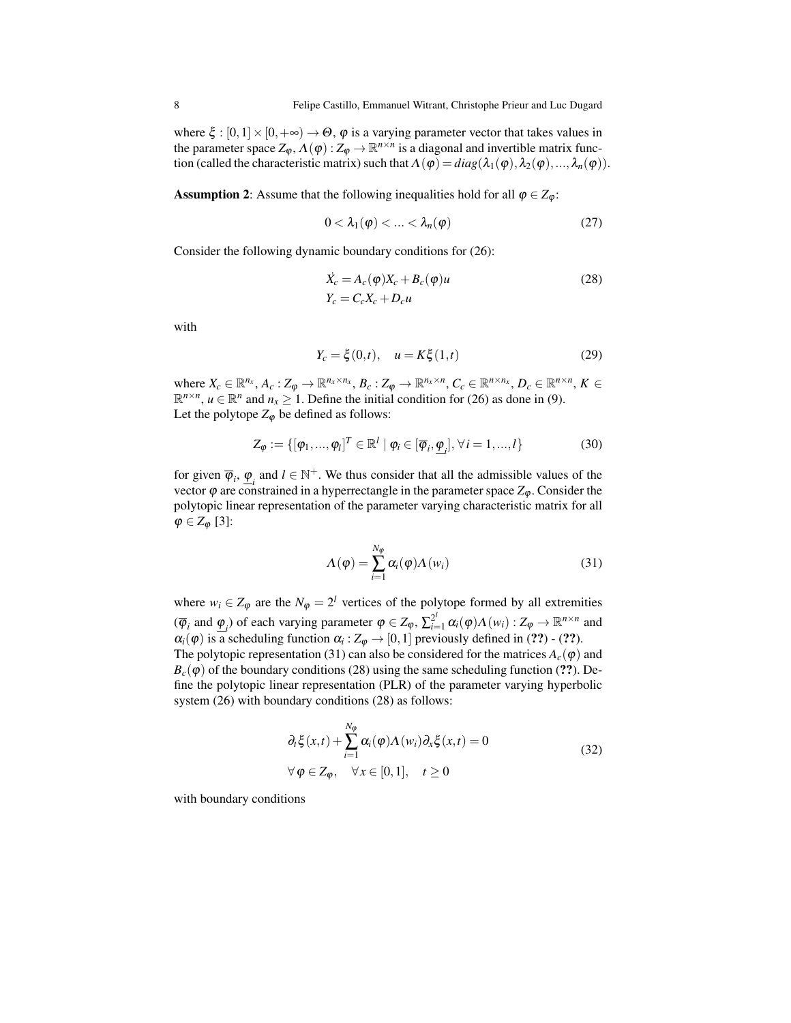where  $\xi : [0,1] \times [0,+\infty) \to \Theta$ ,  $\varphi$  is a varying parameter vector that takes values in the parameter space  $Z_{\varphi}, \Lambda(\varphi): Z_{\varphi} \to \mathbb{R}^{n \times n}$  is a diagonal and invertible matrix function (called the characteristic matrix) such that  $\Lambda(\varphi) = diag(\lambda_1(\varphi), \lambda_2(\varphi), ..., \lambda_n(\varphi)).$ 

**Assumption 2:** Assume that the following inequalities hold for all  $\varphi \in Z_{\varphi}$ :

$$
0 < \lambda_1(\varphi) < \ldots < \lambda_n(\varphi)
$$
 (27)

Consider the following dynamic boundary conditions for (26):

$$
\dot{X}_c = A_c(\varphi)X_c + B_c(\varphi)u
$$
\n
$$
Y_c = C_c X_c + D_c u
$$
\n(28)

with

$$
Y_c = \xi(0, t), \quad u = K\xi(1, t) \tag{29}
$$

where  $X_c \in \mathbb{R}^{n_x}$ ,  $A_c: Z_{\varphi} \to \mathbb{R}^{n_x \times n_x}$ ,  $B_c: Z_{\varphi} \to \mathbb{R}^{n_x \times n}$ ,  $C_c \in \mathbb{R}^{n \times n_x}$ ,  $D_c \in \mathbb{R}^{n \times n}$ ,  $K \in$  $\mathbb{R}^{n \times n}$ ,  $u \in \mathbb{R}^n$  and  $n_x \ge 1$ . Define the initial condition for (26) as done in (9). Let the polytope  $Z_{\varphi}$  be defined as follows:

$$
Z_{\varphi} := \{ [\varphi_1, ..., \varphi_l]^T \in \mathbb{R}^l \mid \varphi_i \in [\overline{\varphi}_i, \underline{\varphi}_i], \forall i = 1, ..., l \}
$$
(30)

for given  $\overline{\varphi}_i$ ,  $\underline{\varphi}_i$  and  $l \in \mathbb{N}^+$ . We thus consider that all the admissible values of the vector  $\varphi$  are constrained in a hyperrectangle in the parameter space  $Z_{\varphi}$ . Consider the polytopic linear representation of the parameter varying characteristic matrix for all  $\varphi \in Z_{\varphi}$  [3]:

$$
\Lambda(\varphi) = \sum_{i=1}^{N_{\varphi}} \alpha_i(\varphi) \Lambda(w_i)
$$
\n(31)

where  $w_i \in Z_\varphi$  are the  $N_\varphi = 2^l$  vertices of the polytope formed by all extremities  $(\overline{\varphi}_i \text{ and } \underline{\varphi}_i)$  of each varying parameter  $\varphi \in Z_\varphi$ ,  $\sum_{i=1}^{2^l} \alpha_i(\varphi) \Lambda(w_i) : Z_\varphi \to \mathbb{R}^{n \times n}$  and  $\alpha_i(\varphi)$  is a scheduling function  $\alpha_i : Z_{\varphi} \to [0,1]$  previously defined in (??) - (??). The polytopic representation (31) can also be considered for the matrices  $A_c(\varphi)$  and  $B_c(\varphi)$  of the boundary conditions (28) using the same scheduling function (??). Define the polytopic linear representation (PLR) of the parameter varying hyperbolic system (26) with boundary conditions (28) as follows:

$$
\partial_t \xi(x,t) + \sum_{i=1}^{N_\varphi} \alpha_i(\varphi) \Lambda(w_i) \partial_x \xi(x,t) = 0
$$
  

$$
\forall \varphi \in Z_\varphi, \quad \forall x \in [0,1], \quad t \ge 0
$$
 (32)

with boundary conditions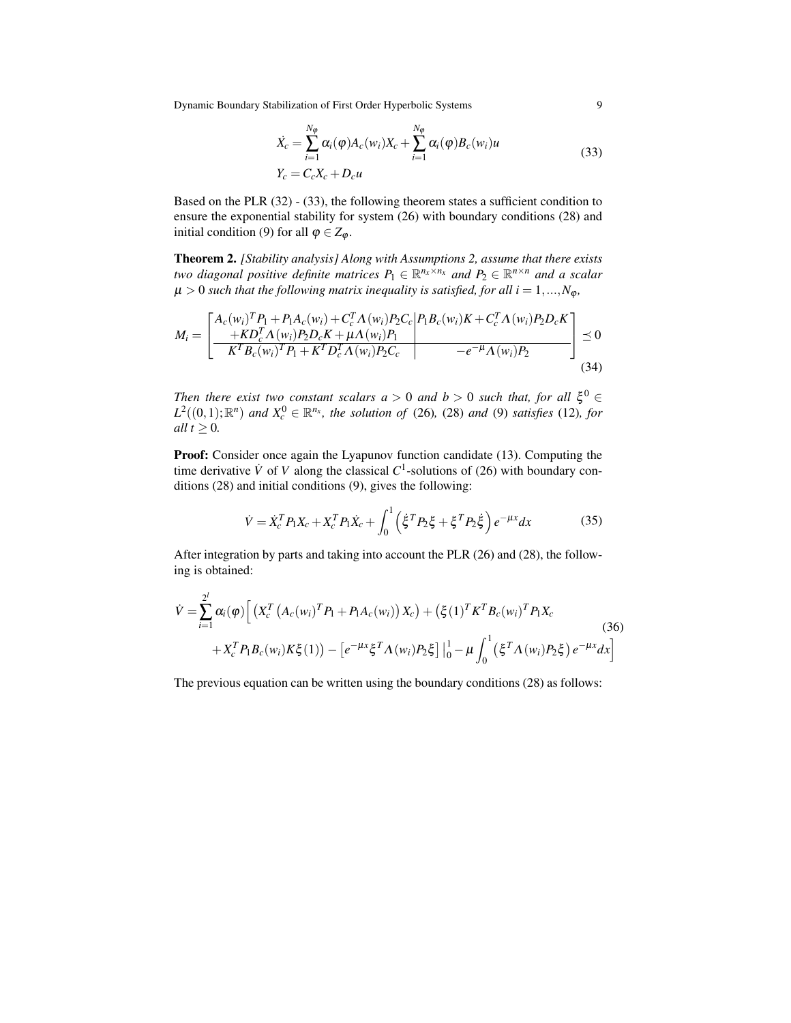$$
\dot{X}_c = \sum_{i=1}^{N_{\varphi}} \alpha_i(\varphi) A_c(w_i) X_c + \sum_{i=1}^{N_{\varphi}} \alpha_i(\varphi) B_c(w_i) u
$$
\n
$$
Y_c = C_c X_c + D_c u
$$
\n(33)

Based on the PLR (32) - (33), the following theorem states a sufficient condition to ensure the exponential stability for system (26) with boundary conditions (28) and initial condition (9) for all  $\varphi \in Z_{\varphi}$ .

Theorem 2. *[Stability analysis] Along with Assumptions 2, assume that there exists two diagonal positive definite matrices*  $P_1 \in \mathbb{R}^{n_x \times n_x}$  and  $P_2 \in \mathbb{R}^{n \times n}$  and a scalar  $\mu > 0$  *such that the following matrix inequality is satisfied, for all i* = 1,..., $N_{\varphi}$ *,* 

$$
M_{i} = \left[ \frac{A_{c}(w_{i})^{T}P_{1} + P_{1}A_{c}(w_{i}) + C_{c}^{T}A(w_{i})P_{2}C_{c}}{K^{T}B_{c}(w_{i})^{T}P_{1} + K^{T}D_{c}^{T}A(w_{i})P_{2}} \right] \leq 0
$$
  

$$
\frac{M_{i}}{K^{T}B_{c}(w_{i})^{T}P_{1} + K^{T}D_{c}^{T}A(w_{i})P_{2}C_{c}} - e^{-\mu}A(w_{i})P_{2}}{A^{T}B_{c}(w_{i})^{T}P_{2} + K^{T}D_{c}^{T}A(w_{i})P_{2}} \leq 0
$$
\n(34)

*Then there exist two constant scalars a* > 0 *and*  $b$  > 0 *such that, for all*  $\xi^0$   $\in$  $L^2((0,1); \mathbb{R}^n)$  *and*  $X_c^0 \in \mathbb{R}^{n_x}$ , the solution of (26), (28) *and* (9) *satisfies* (12)*, for all*  $t \geq 0$ *.* 

Proof: Consider once again the Lyapunov function candidate (13). Computing the time derivative  $\dot{V}$  of  $V$  along the classical  $C^1$ -solutions of (26) with boundary conditions (28) and initial conditions (9), gives the following:

$$
\dot{V} = \dot{X}_c^T P_1 X_c + X_c^T P_1 \dot{X}_c + \int_0^1 \left( \dot{\xi}^T P_2 \xi + \xi^T P_2 \dot{\xi} \right) e^{-\mu x} dx \tag{35}
$$

After integration by parts and taking into account the PLR (26) and (28), the following is obtained:

$$
\dot{V} = \sum_{i=1}^{2^{l}} \alpha_{i}(\varphi) \left[ \left( X_{c}^{T} \left( A_{c}(w_{i})^{T} P_{1} + P_{1} A_{c}(w_{i}) \right) X_{c} \right) + \left( \xi(1)^{T} K^{T} B_{c}(w_{i})^{T} P_{1} X_{c} \right) \right. \right. \tag{36}
$$
\n
$$
+ X_{c}^{T} P_{1} B_{c}(w_{i}) K \xi(1)) - \left[ e^{-\mu x} \xi^{T} \Lambda(w_{i}) P_{2} \xi \right] \Big|_{0}^{1} - \mu \int_{0}^{1} \left( \xi^{T} \Lambda(w_{i}) P_{2} \xi \right) e^{-\mu x} dx \right]
$$

The previous equation can be written using the boundary conditions (28) as follows: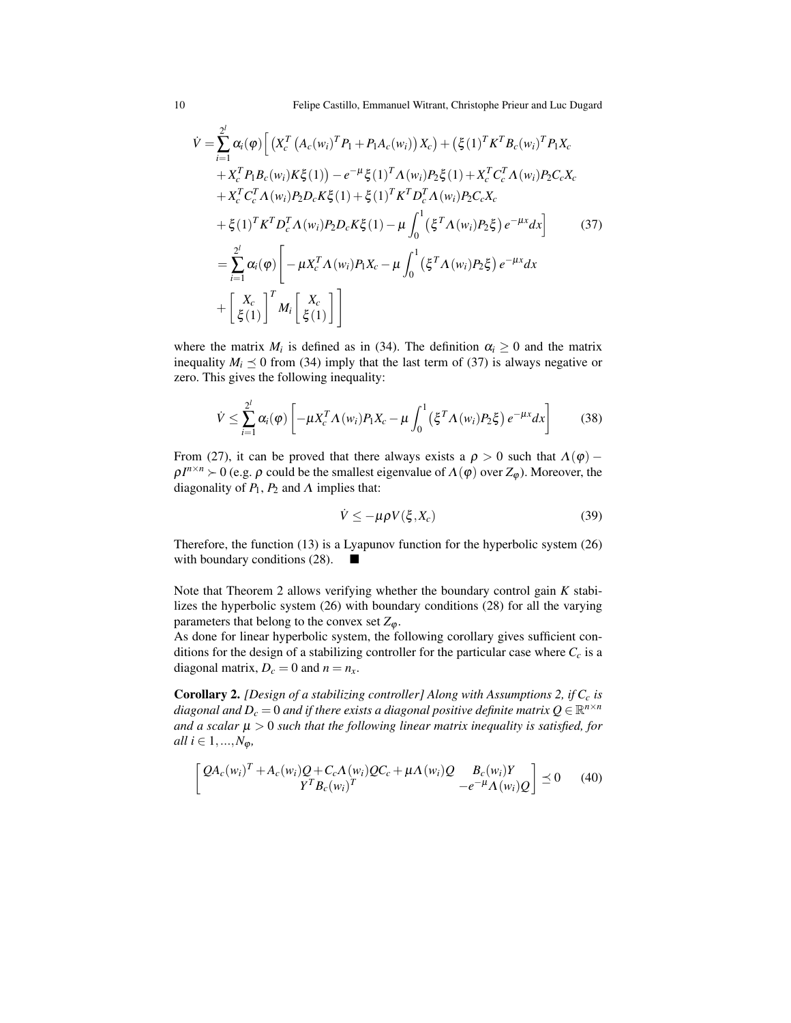$$
\dot{V} = \sum_{i=1}^{2^{l}} \alpha_{i}(\varphi) \left[ \left( X_{c}^{T} \left( A_{c}(w_{i})^{T} P_{1} + P_{1} A_{c}(w_{i}) \right) X_{c} \right) + \left( \xi(1)^{T} K^{T} B_{c}(w_{i})^{T} P_{1} X_{c} \right) + X_{c}^{T} P_{1} B_{c}(w_{i}) K \xi(1) \right) - e^{-\mu} \xi(1)^{T} \Lambda(w_{i}) P_{2} \xi(1) + X_{c}^{T} C_{c}^{T} \Lambda(w_{i}) P_{2} C_{c} X_{c} + X_{c}^{T} C_{c}^{T} \Lambda(w_{i}) P_{2} D_{c} K \xi(1) + \xi(1)^{T} K^{T} D_{c}^{T} \Lambda(w_{i}) P_{2} C_{c} X_{c} + \xi(1)^{T} K^{T} D_{c}^{T} \Lambda(w_{i}) P_{2} D_{c} K \xi(1) - \mu \int_{0}^{1} (\xi^{T} \Lambda(w_{i}) P_{2} \xi) e^{-\mu x} dx \right] \tag{37}
$$
  

$$
= \sum_{i=1}^{2^{l}} \alpha_{i}(\varphi) \left[ -\mu X_{c}^{T} \Lambda(w_{i}) P_{1} X_{c} - \mu \int_{0}^{1} (\xi^{T} \Lambda(w_{i}) P_{2} \xi) e^{-\mu x} dx \right] \tag{37}
$$
  

$$
+ \left[ \frac{X_{c}}{\xi(1)} \right]^{T} M_{i} \left[ \frac{X_{c}}{\xi(1)} \right] \right]
$$

where the matrix  $M_i$  is defined as in (34). The definition  $\alpha_i \geq 0$  and the matrix inequality  $M_i \leq 0$  from (34) imply that the last term of (37) is always negative or zero. This gives the following inequality:

$$
\dot{V} \leq \sum_{i=1}^{2^l} \alpha_i(\varphi) \left[ -\mu X_c^T \Lambda(w_i) P_1 X_c - \mu \int_0^1 (\xi^T \Lambda(w_i) P_2 \xi) e^{-\mu x} dx \right]
$$
(38)

From (27), it can be proved that there always exists a  $\rho > 0$  such that  $\Lambda(\varphi)$  –  $\rho I^{n \times n} \succ 0$  (e.g.  $\rho$  could be the smallest eigenvalue of  $\Lambda(\varphi)$  over  $Z_{\varphi}$ ). Moreover, the diagonality of  $P_1$ ,  $P_2$  and  $\Lambda$  implies that:

$$
\dot{V} \le -\mu \rho V(\xi, X_c) \tag{39}
$$

Therefore, the function (13) is a Lyapunov function for the hyperbolic system (26) with boundary conditions  $(28)$ .

Note that Theorem 2 allows verifying whether the boundary control gain *K* stabilizes the hyperbolic system (26) with boundary conditions (28) for all the varying parameters that belong to the convex set  $Z_{\varphi}$ .

As done for linear hyperbolic system, the following corollary gives sufficient conditions for the design of a stabilizing controller for the particular case where *C<sup>c</sup>* is a diagonal matrix,  $D_c = 0$  and  $n = n_x$ .

Corollary 2. *[Design of a stabilizing controller] Along with Assumptions 2, if C<sup>c</sup> is* diagonal and  $D_c = 0$  and if there exists a diagonal positive definite matrix  $Q \in \mathbb{R}^{n \times n}$ *and a scalar*  $\mu > 0$  *such that the following linear matrix inequality is satisfied, for all*  $i \in {1, ..., N_{\omega}}$ *,* 

$$
\begin{bmatrix} Q A_c(w_i)^T + A_c(w_i)Q + C_c \Lambda(w_i)QC_c + \mu \Lambda(w_i)Q & B_c(w_i)Y \\ Y^T B_c(w_i)^T & -e^{-\mu} \Lambda(w_i)Q \end{bmatrix} \preceq 0 \quad (40)
$$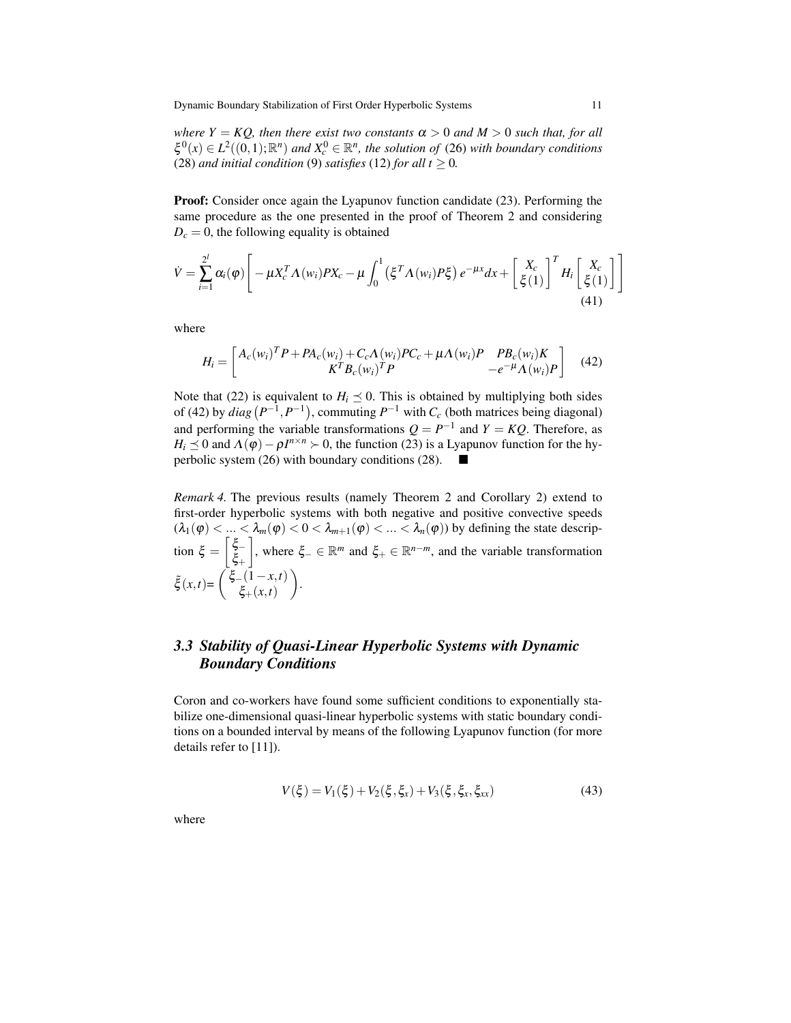*where*  $Y = KQ$ *, then there exist two constants*  $\alpha > 0$  *and*  $M > 0$  *such that, for all*  $\xi^0(x) \in L^2((0,1); \mathbb{R}^n)$  and  $X_c^0 \in \mathbb{R}^n$ , the solution of (26) with boundary conditions (28) *and initial condition* (9) *satisfies* (12) *for all*  $t \ge 0$ *.* 

Proof: Consider once again the Lyapunov function candidate (23). Performing the same procedure as the one presented in the proof of Theorem 2 and considering  $D_c = 0$ , the following equality is obtained

$$
\dot{V} = \sum_{i=1}^{2^l} \alpha_i(\varphi) \left[ -\mu X_c^T \Lambda(w_i) P X_c - \mu \int_0^1 (\xi^T \Lambda(w_i) P \xi) e^{-\mu x} dx + \left[ \frac{X_c}{\xi(1)} \right]^T H_i \left[ \frac{X_c}{\xi(1)} \right] \right]
$$
\n(41)

where

$$
H_{i} = \begin{bmatrix} A_{c}(w_{i})^{T} P + P A_{c}(w_{i}) + C_{c} \Lambda(w_{i}) P C_{c} + \mu \Lambda(w_{i}) P & P B_{c}(w_{i}) K \\ K^{T} B_{c}(w_{i})^{T} P & -e^{-\mu} \Lambda(w_{i}) P \end{bmatrix}
$$
(42)

Note that (22) is equivalent to  $H_i \leq 0$ . This is obtained by multiplying both sides of (42) by  $diag(P^{-1}, P^{-1})$ , commuting  $P^{-1}$  with  $C_c$  (both matrices being diagonal) and performing the variable transformations  $Q = P^{-1}$  and  $Y = KQ$ . Therefore, as *H*<sub>*i*</sub>  $\leq$  0 and  $\Lambda(\varphi) - \rho I^{n \times n}$  > 0, the function (23) is a Lyapunov function for the hyperbolic system (26) with boundary conditions (28).

*Remark 4.* The previous results (namely Theorem 2 and Corollary 2) extend to first-order hyperbolic systems with both negative and positive convective speeds  $(\lambda_1(\varphi) < ... < \lambda_m(\varphi) < 0 < \lambda_{m+1}(\varphi) < ... < \lambda_n(\varphi)$ ) by defining the state description  $\xi = \begin{bmatrix} \xi_{-} \\ \xi_{-} \end{bmatrix}$ ξ+  $\Big]$ , where  $\xi$ <sub>−</sub> ∈ ℝ<sup>*m*</sup> and  $\xi$ <sub>+</sub> ∈ ℝ<sup>*n*−*m*</sup>, and the variable transformation  $\tilde{\xi}(x,t) = \begin{pmatrix} \xi - (1-x,t) \\ \xi - (x,t) \end{pmatrix}$ ξ+(*x*,*t*) .

# *3.3 Stability of Quasi-Linear Hyperbolic Systems with Dynamic Boundary Conditions*

Coron and co-workers have found some sufficient conditions to exponentially stabilize one-dimensional quasi-linear hyperbolic systems with static boundary conditions on a bounded interval by means of the following Lyapunov function (for more details refer to [11]).

$$
V(\xi) = V_1(\xi) + V_2(\xi, \xi_x) + V_3(\xi, \xi_x, \xi_{xx})
$$
\n(43)

where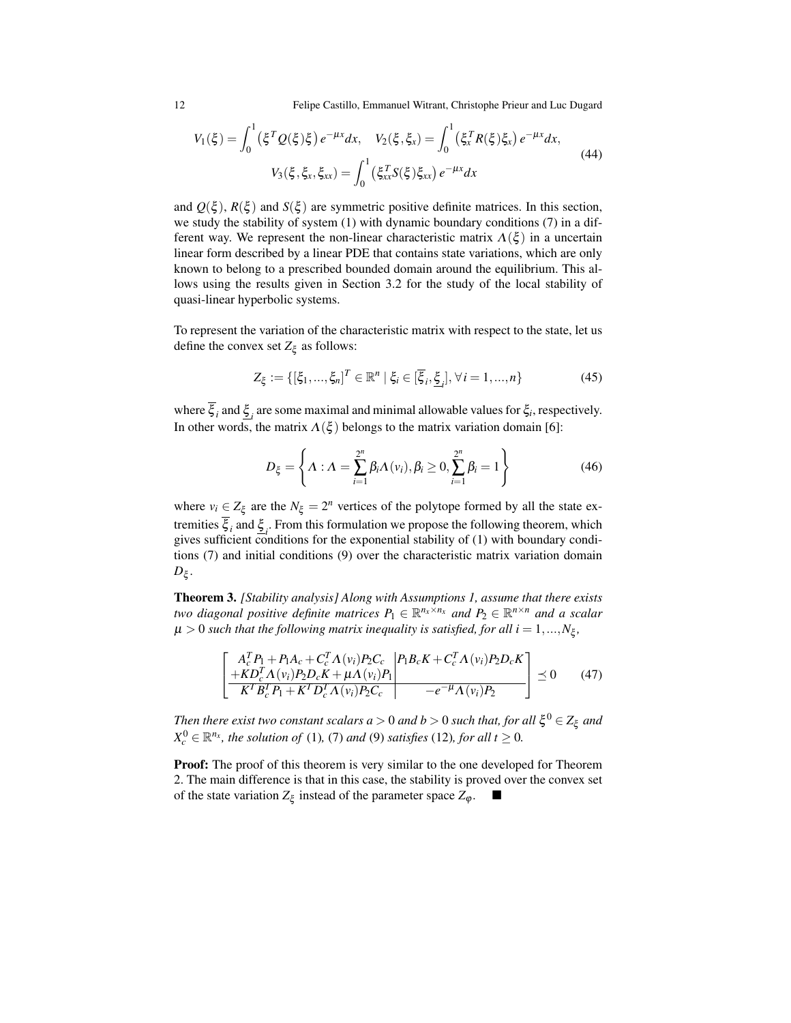$$
V_1(\xi) = \int_0^1 (\xi^T Q(\xi)\xi) e^{-\mu x} dx, \quad V_2(\xi, \xi_x) = \int_0^1 (\xi_x^T R(\xi)\xi_x) e^{-\mu x} dx,
$$
  

$$
V_3(\xi, \xi_x, \xi_{xx}) = \int_0^1 (\xi_{xx}^T S(\xi)\xi_{xx}) e^{-\mu x} dx
$$
 (44)

and  $Q(\xi)$ ,  $R(\xi)$  and  $S(\xi)$  are symmetric positive definite matrices. In this section, we study the stability of system (1) with dynamic boundary conditions (7) in a different way. We represent the non-linear characteristic matrix  $\Lambda(\xi)$  in a uncertain linear form described by a linear PDE that contains state variations, which are only known to belong to a prescribed bounded domain around the equilibrium. This allows using the results given in Section 3.2 for the study of the local stability of quasi-linear hyperbolic systems.

To represent the variation of the characteristic matrix with respect to the state, let us define the convex set  $Z_{\xi}$  as follows:

$$
Z_{\xi} := \{ [\xi_1, ..., \xi_n]^T \in \mathbb{R}^n \mid \xi_i \in [\overline{\xi}_i, \underline{\xi}_i], \forall i = 1, ..., n \}
$$
(45)

where  $\xi_i$  and  $\underline{\xi}_i$  are some maximal and minimal allowable values for  $\xi_i$ , respectively. In other words, the matrix  $\Lambda(\xi)$  belongs to the matrix variation domain [6]:

$$
D_{\xi} = \left\{ \Lambda : \Lambda = \sum_{i=1}^{2^n} \beta_i \Lambda(v_i), \beta_i \ge 0, \sum_{i=1}^{2^n} \beta_i = 1 \right\}
$$
 (46)

where  $v_i \in Z_\xi$  are the  $N_\xi = 2^n$  vertices of the polytope formed by all the state extremities  $\xi_i$  and  $\underline{\xi}_i$ . From this formulation we propose the following theorem, which gives sufficient conditions for the exponential stability of (1) with boundary conditions (7) and initial conditions (9) over the characteristic matrix variation domain *D*ξ .

Theorem 3. *[Stability analysis] Along with Assumptions 1, assume that there exists two diagonal positive definite matrices*  $P_1 \in \mathbb{R}^{n_x \times n_x}$  and  $P_2 \in \mathbb{R}^{n \times n}$  and a scalar  $\mu > 0$  such that the following matrix inequality is satisfied, for all  $i = 1,...,N_\xi$ ,

$$
\left[ \frac{A_c^T P_1 + P_1 A_c + C_c^T \Lambda(v_i) P_2 C_c}{K^T B_c^T P_1 + K^T D_c^T \Lambda(v_i) P_2 D_c K} \right] \le 0 \quad (47)
$$

 $\mathcal{T}$ hen there exist two constant scalars  $a > 0$  and  $b > 0$  such that, for all  $\mathcal{\xi}^0 \in Z_{\xi}$  and  $X_c^0 \in \mathbb{R}^{n_x}$ , the solution of (1), (7) and (9) satisfies (12), for all  $t \geq 0$ .

Proof: The proof of this theorem is very similar to the one developed for Theorem 2. The main difference is that in this case, the stability is proved over the convex set of the state variation  $Z_{\xi}$  instead of the parameter space  $Z_{\varphi}$ .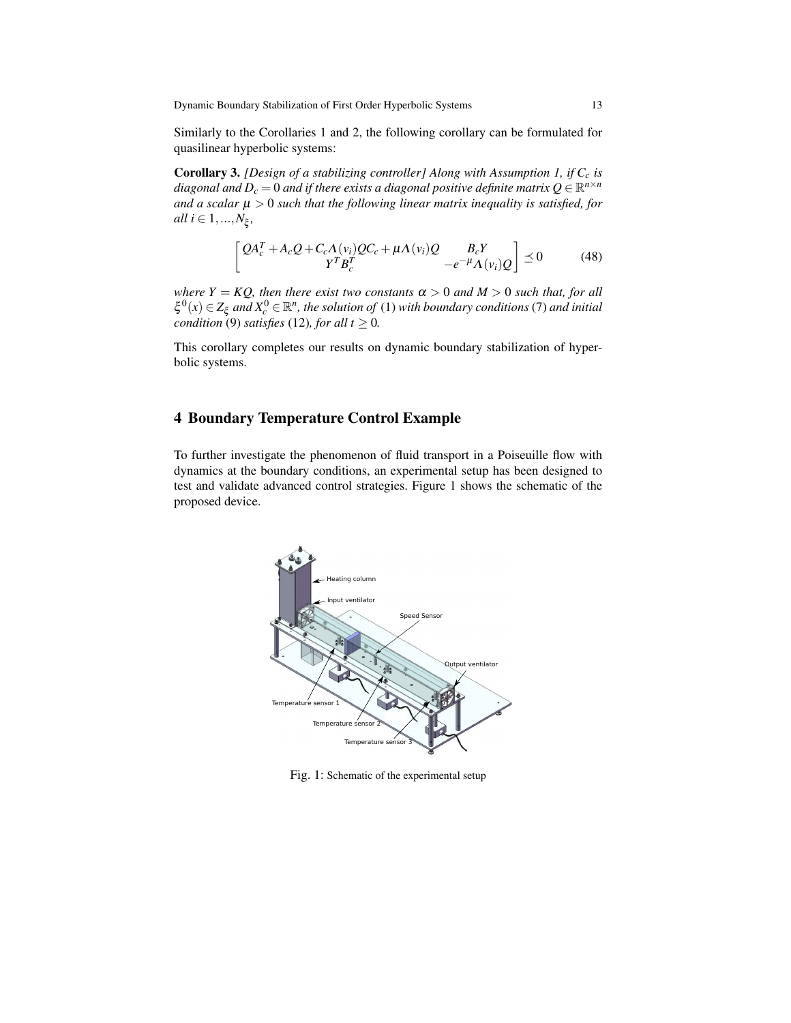Similarly to the Corollaries 1 and 2, the following corollary can be formulated for quasilinear hyperbolic systems:

Corollary 3. *[Design of a stabilizing controller] Along with Assumption 1, if C<sup>c</sup> is* diagonal and  $D_c = 0$  and if there exists a diagonal positive definite matrix  $Q \in \mathbb{R}^{n \times n}$ *and a scalar*  $\mu > 0$  *such that the following linear matrix inequality is satisfied, for*  $all \ i \in 1, ..., N_{\xi},$ 

$$
\begin{bmatrix} QA_c^T + A_cQ + C_c\Lambda(v_i)QC_c + \mu\Lambda(v_i)Q & B_cY\\ Y^TB_c^T & -e^{-\mu}\Lambda(v_i)Q \end{bmatrix} \preceq 0 \tag{48}
$$

*where*  $Y = KQ$ , then there exist two constants  $\alpha > 0$  and  $M > 0$  such that, for all  $\xi^0(x) \in Z_\xi$  and  $X_c^0 \in \mathbb{R}^n$ , the solution of (1) with boundary conditions (7) and initial *condition* (9) *satisfies* (12)*, for all t*  $\geq$  0*.* 

This corollary completes our results on dynamic boundary stabilization of hyperbolic systems.

# 4 Boundary Temperature Control Example

To further investigate the phenomenon of fluid transport in a Poiseuille flow with dynamics at the boundary conditions, an experimental setup has been designed to test and validate advanced control strategies. Figure 1 shows the schematic of the proposed device.



Fig. 1: Schematic of the experimental setup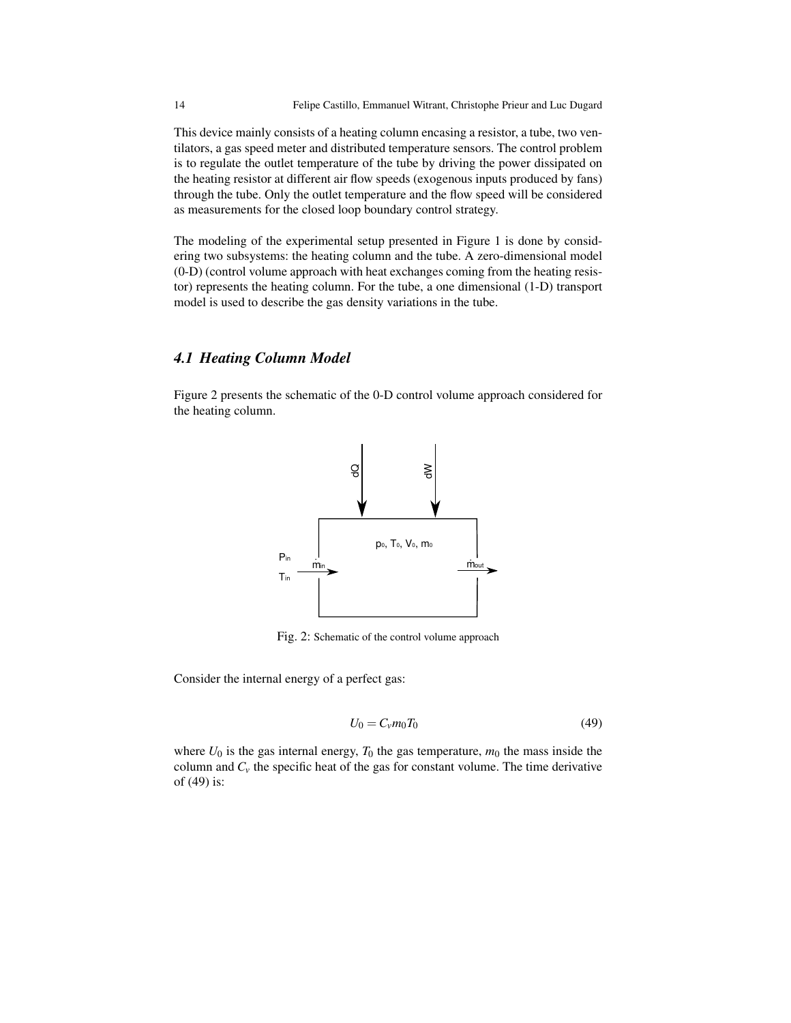This device mainly consists of a heating column encasing a resistor, a tube, two ventilators, a gas speed meter and distributed temperature sensors. The control problem is to regulate the outlet temperature of the tube by driving the power dissipated on the heating resistor at different air flow speeds (exogenous inputs produced by fans) through the tube. Only the outlet temperature and the flow speed will be considered as measurements for the closed loop boundary control strategy.

The modeling of the experimental setup presented in Figure 1 is done by considering two subsystems: the heating column and the tube. A zero-dimensional model (0-D) (control volume approach with heat exchanges coming from the heating resistor) represents the heating column. For the tube, a one dimensional (1-D) transport model is used to describe the gas density variations in the tube.

### *4.1 Heating Column Model*

Figure 2 presents the schematic of the 0-D control volume approach considered for the heating column.



Fig. 2: Schematic of the control volume approach

Consider the internal energy of a perfect gas:

$$
U_0 = C_v m_0 T_0 \tag{49}
$$

where  $U_0$  is the gas internal energy,  $T_0$  the gas temperature,  $m_0$  the mass inside the column and  $C<sub>v</sub>$  the specific heat of the gas for constant volume. The time derivative of (49) is: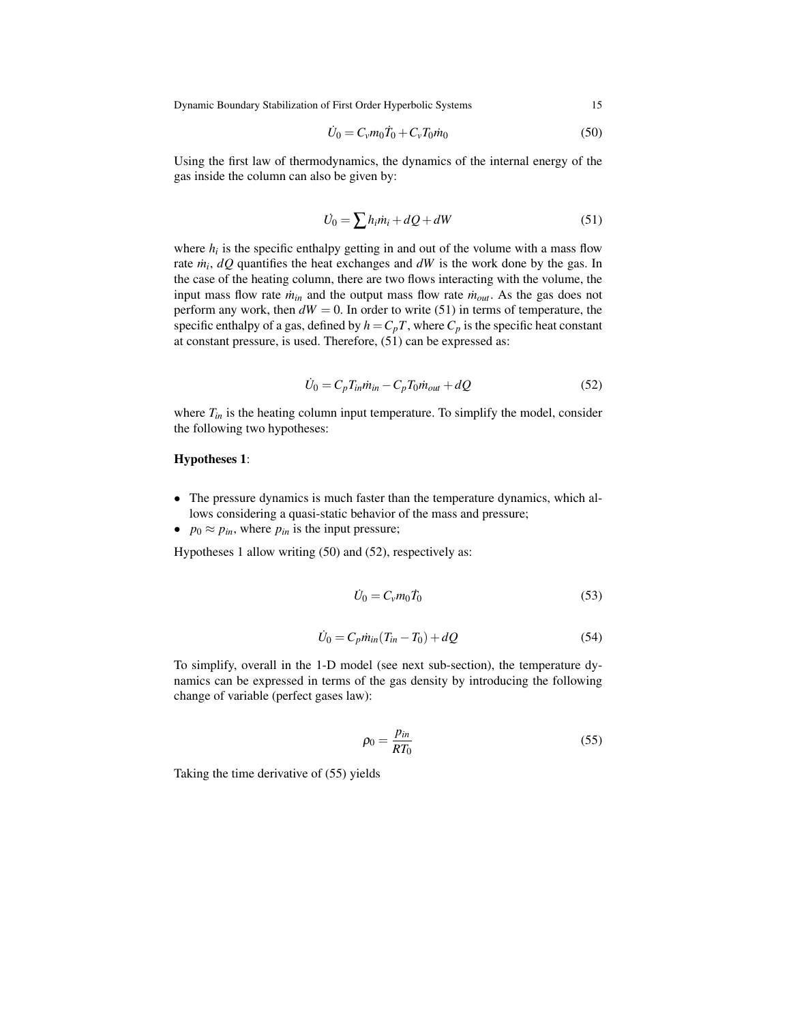$$
\dot{U}_0 = C_v m_0 \dot{T}_0 + C_v T_0 \dot{m}_0 \tag{50}
$$

Using the first law of thermodynamics, the dynamics of the internal energy of the gas inside the column can also be given by:

$$
\dot{U}_0 = \sum h_i \dot{m}_i + dQ + dW \tag{51}
$$

where  $h_i$  is the specific enthalpy getting in and out of the volume with a mass flow rate  $\dot{m}_i$ ,  $dQ$  quantifies the heat exchanges and  $dW$  is the work done by the gas. In the case of the heating column, there are two flows interacting with the volume, the input mass flow rate  $\dot{m}_{in}$  and the output mass flow rate  $\dot{m}_{out}$ . As the gas does not perform any work, then  $dW = 0$ . In order to write (51) in terms of temperature, the specific enthalpy of a gas, defined by  $h = C_pT$ , where  $C_p$  is the specific heat constant at constant pressure, is used. Therefore, (51) can be expressed as:

$$
\dot{U}_0 = C_p T_{in} \dot{m}_{in} - C_p T_0 \dot{m}_{out} + dQ \tag{52}
$$

where  $T_{in}$  is the heating column input temperature. To simplify the model, consider the following two hypotheses:

#### Hypotheses 1:

- The pressure dynamics is much faster than the temperature dynamics, which allows considering a quasi-static behavior of the mass and pressure;
- $p_0 \approx p_{in}$ , where  $p_{in}$  is the input pressure;

Hypotheses 1 allow writing (50) and (52), respectively as:

$$
\dot{U}_0 = C_v m_0 \dot{T}_0 \tag{53}
$$

$$
\dot{U}_0 = C_p \dot{m}_{in} (T_{in} - T_0) + dQ \tag{54}
$$

To simplify, overall in the 1-D model (see next sub-section), the temperature dynamics can be expressed in terms of the gas density by introducing the following change of variable (perfect gases law):

$$
\rho_0 = \frac{p_{in}}{RT_0} \tag{55}
$$

Taking the time derivative of (55) yields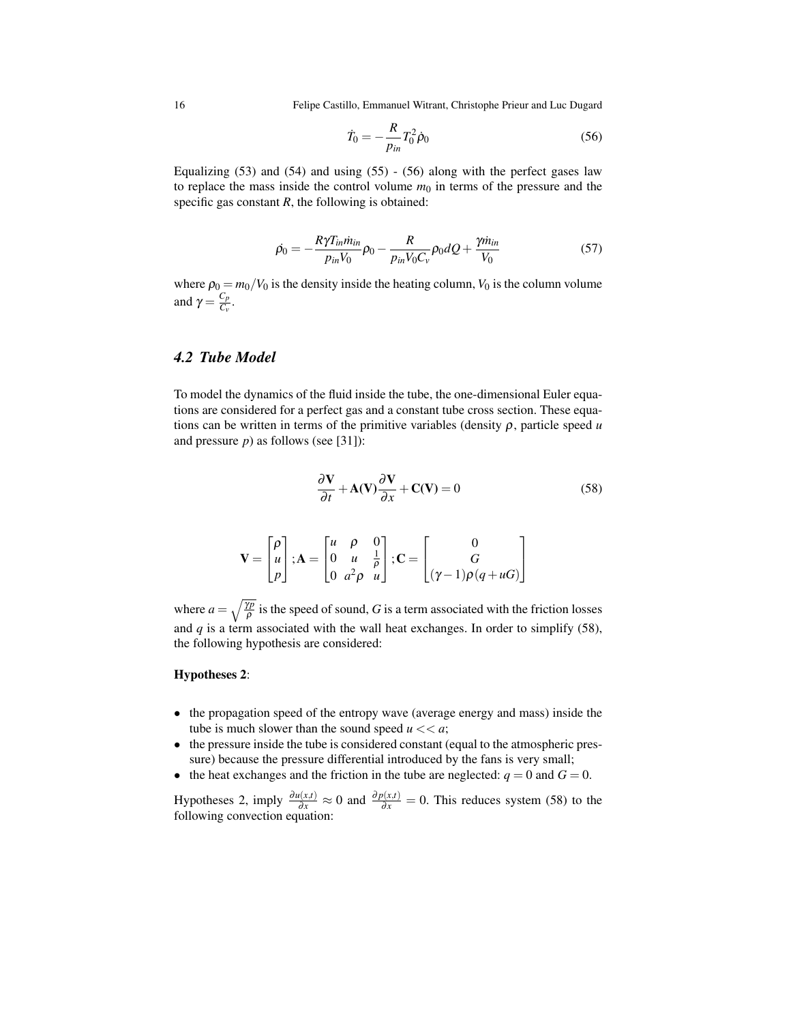$$
\dot{T}_0 = -\frac{R}{p_{in}} T_0^2 \dot{\rho}_0 \tag{56}
$$

Equalizing  $(53)$  and  $(54)$  and using  $(55)$  -  $(56)$  along with the perfect gases law to replace the mass inside the control volume  $m_0$  in terms of the pressure and the specific gas constant *, the following is obtained:* 

$$
\dot{\rho_0} = -\frac{R\gamma T_{in} \dot{m}_{in}}{p_{in} V_0} \rho_0 - \frac{R}{p_{in} V_0 C_v} \rho_0 dQ + \frac{\gamma \dot{m}_{in}}{V_0}
$$
\n(57)

where  $\rho_0 = m_0/V_0$  is the density inside the heating column,  $V_0$  is the column volume and  $\gamma = \frac{C_p}{C_p}$  $\frac{C_p}{C_v}$ .

## *4.2 Tube Model*

To model the dynamics of the fluid inside the tube, the one-dimensional Euler equations are considered for a perfect gas and a constant tube cross section. These equations can be written in terms of the primitive variables (density  $\rho$ , particle speed  $u$ and pressure *p*) as follows (see [31]):

$$
\frac{\partial \mathbf{V}}{\partial t} + \mathbf{A}(\mathbf{V}) \frac{\partial \mathbf{V}}{\partial x} + \mathbf{C}(\mathbf{V}) = 0
$$
 (58)

$$
\mathbf{V} = \begin{bmatrix} \rho \\ u \\ p \end{bmatrix}; \mathbf{A} = \begin{bmatrix} u & \rho & 0 \\ 0 & u & \frac{1}{\rho} \\ 0 & a^2 \rho & u \end{bmatrix}; \mathbf{C} = \begin{bmatrix} 0 \\ G \\ (\gamma - 1)\rho(q + uG) \end{bmatrix}
$$

where  $a = \sqrt{\frac{\gamma p}{\rho}}$  is the speed of sound, *G* is a term associated with the friction losses and  $q$  is a term associated with the wall heat exchanges. In order to simplify  $(58)$ , the following hypothesis are considered:

#### Hypotheses 2:

- the propagation speed of the entropy wave (average energy and mass) inside the tube is much slower than the sound speed  $u \ll a$ ;
- the pressure inside the tube is considered constant (equal to the atmospheric pressure) because the pressure differential introduced by the fans is very small;
- the heat exchanges and the friction in the tube are neglected:  $q = 0$  and  $G = 0$ .

Hypotheses 2, imply  $\frac{\partial u(x,t)}{\partial x} \approx 0$  and  $\frac{\partial p(x,t)}{\partial x} = 0$ . This reduces system (58) to the following convection equation: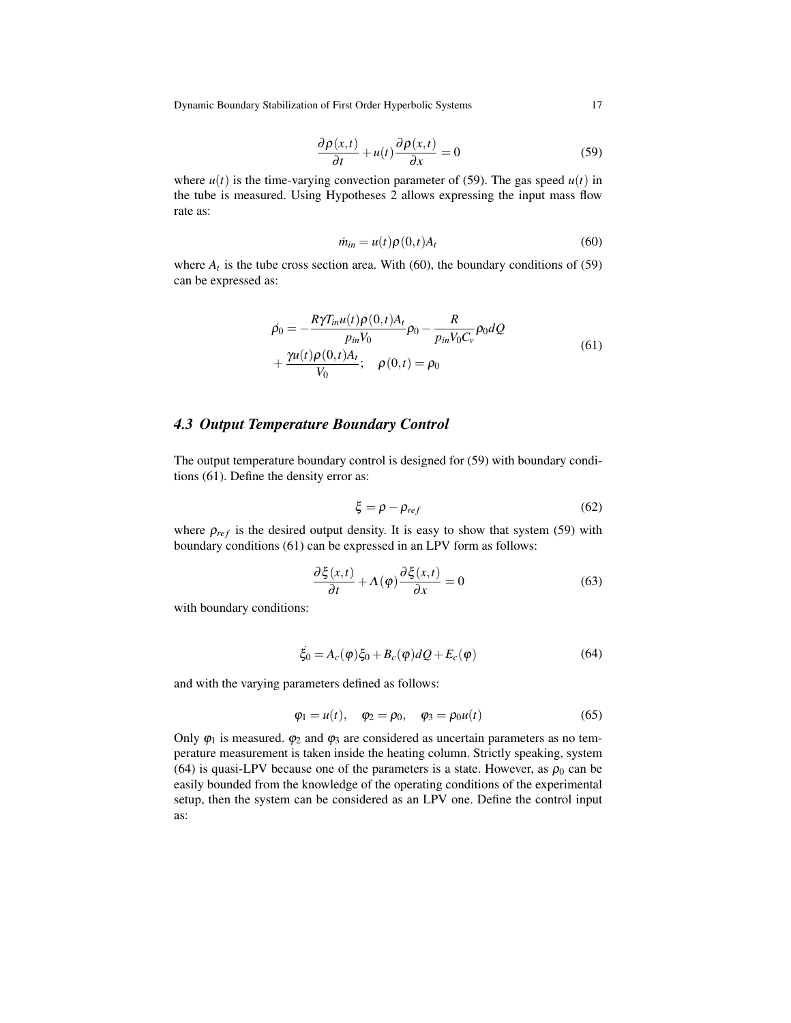$$
\frac{\partial \rho(x,t)}{\partial t} + u(t) \frac{\partial \rho(x,t)}{\partial x} = 0
$$
\n(59)

where  $u(t)$  is the time-varying convection parameter of (59). The gas speed  $u(t)$  in the tube is measured. Using Hypotheses 2 allows expressing the input mass flow rate as:

$$
\dot{m}_{in} = u(t)\rho(0,t)A_t \tag{60}
$$

where  $A_t$  is the tube cross section area. With (60), the boundary conditions of (59) can be expressed as:

$$
\rho_0 = -\frac{R\gamma T_{in}u(t)\rho(0,t)A_t}{p_{in}V_0}\rho_0 - \frac{R}{p_{in}V_0C_v}\rho_0 dQ + \frac{\gamma u(t)\rho(0,t)A_t}{V_0}; \quad \rho(0,t) = \rho_0
$$
\n(61)

#### *4.3 Output Temperature Boundary Control*

The output temperature boundary control is designed for (59) with boundary conditions (61). Define the density error as:

$$
\xi = \rho - \rho_{ref} \tag{62}
$$

where  $\rho_{ref}$  is the desired output density. It is easy to show that system (59) with boundary conditions (61) can be expressed in an LPV form as follows:

$$
\frac{\partial \xi(x,t)}{\partial t} + \Lambda(\varphi) \frac{\partial \xi(x,t)}{\partial x} = 0
$$
\n(63)

with boundary conditions:

$$
\ddot{\xi}_0 = A_c(\varphi)\xi_0 + B_c(\varphi)dQ + E_c(\varphi)
$$
\n(64)

and with the varying parameters defined as follows:

$$
\varphi_1 = u(t), \quad \varphi_2 = \rho_0, \quad \varphi_3 = \rho_0 u(t)
$$
\n(65)

Only  $\varphi_1$  is measured.  $\varphi_2$  and  $\varphi_3$  are considered as uncertain parameters as no temperature measurement is taken inside the heating column. Strictly speaking, system (64) is quasi-LPV because one of the parameters is a state. However, as  $\rho_0$  can be easily bounded from the knowledge of the operating conditions of the experimental setup, then the system can be considered as an LPV one. Define the control input as: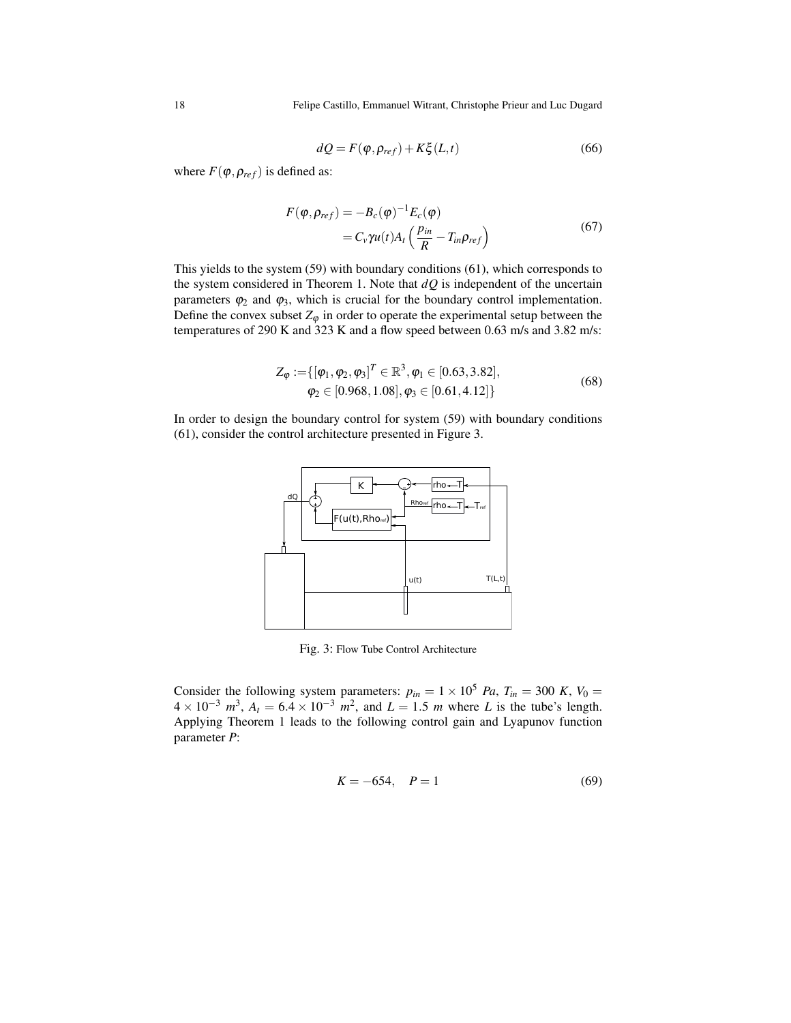$$
dQ = F(\varphi, \rho_{ref}) + K\xi(L, t)
$$
\n(66)

where  $F(\varphi, \rho_{ref})$  is defined as:

$$
F(\varphi, \rho_{ref}) = -B_c(\varphi)^{-1} E_c(\varphi)
$$
  
=  $C_v \gamma u(t) A_t \left( \frac{p_{in}}{R} - T_{in} \rho_{ref} \right)$  (67)

This yields to the system (59) with boundary conditions (61), which corresponds to the system considered in Theorem 1. Note that  $dQ$  is independent of the uncertain parameters  $\varphi_2$  and  $\varphi_3$ , which is crucial for the boundary control implementation. Define the convex subset  $Z_{\varphi}$  in order to operate the experimental setup between the temperatures of 290 K and 323 K and a flow speed between 0.63 m/s and 3.82 m/s:

$$
Z_{\varphi} := \{ [\varphi_1, \varphi_2, \varphi_3]^T \in \mathbb{R}^3, \varphi_1 \in [0.63, 3.82], \varphi_2 \in [0.968, 1.08], \varphi_3 \in [0.61, 4.12] \}
$$
\n(68)

In order to design the boundary control for system (59) with boundary conditions (61), consider the control architecture presented in Figure 3.



Fig. 3: Flow Tube Control Architecture

Consider the following system parameters:  $p_{in} = 1 \times 10^5$  *Pa*,  $T_{in} = 300$  *K*,  $V_0 =$  $4 \times 10^{-3}$   $m^3$ ,  $A_t = 6.4 \times 10^{-3}$   $m^2$ , and  $L = 1.5$  *m* where *L* is the tube's length. Applying Theorem 1 leads to the following control gain and Lyapunov function parameter *P*:

$$
K = -654, \quad P = 1 \tag{69}
$$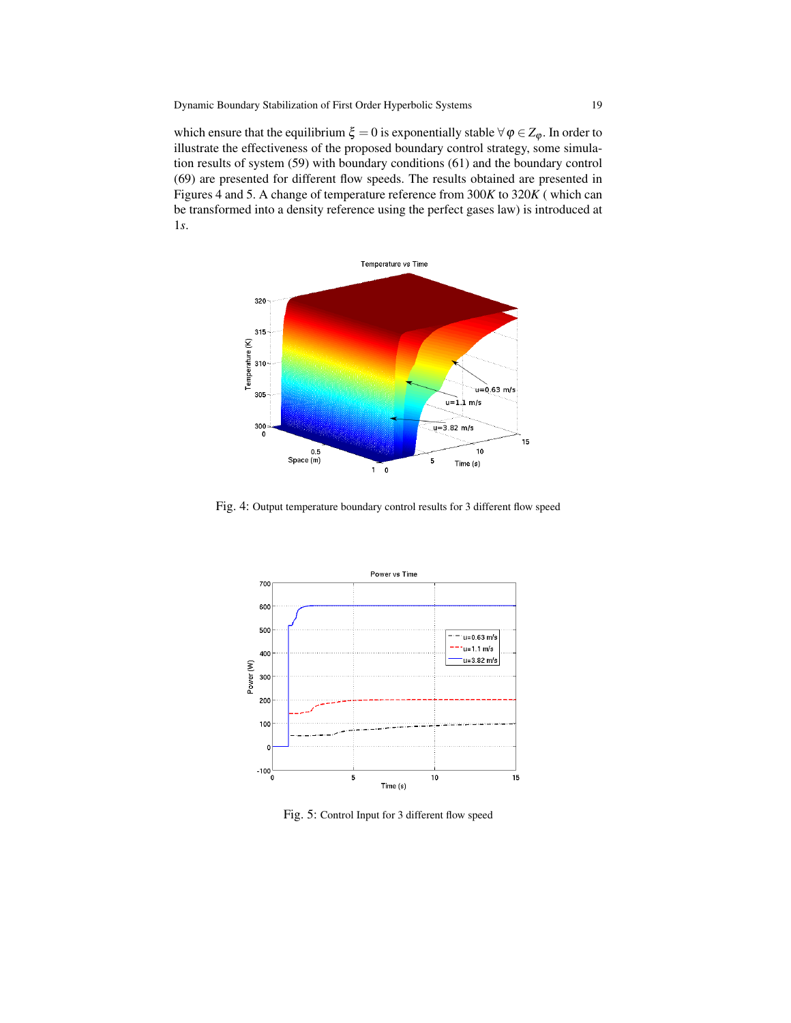which ensure that the equilibrium  $\xi = 0$  is exponentially stable  $\forall \varphi \in Z_{\varphi}$ . In order to illustrate the effectiveness of the proposed boundary control strategy, some simulation results of system (59) with boundary conditions (61) and the boundary control (69) are presented for different flow speeds. The results obtained are presented in Figures 4 and 5. A change of temperature reference from 300*K* to 320*K* ( which can be transformed into a density reference using the perfect gases law) is introduced at 1*s*.



Fig. 4: Output temperature boundary control results for 3 different flow speed



Fig. 5: Control Input for 3 different flow speed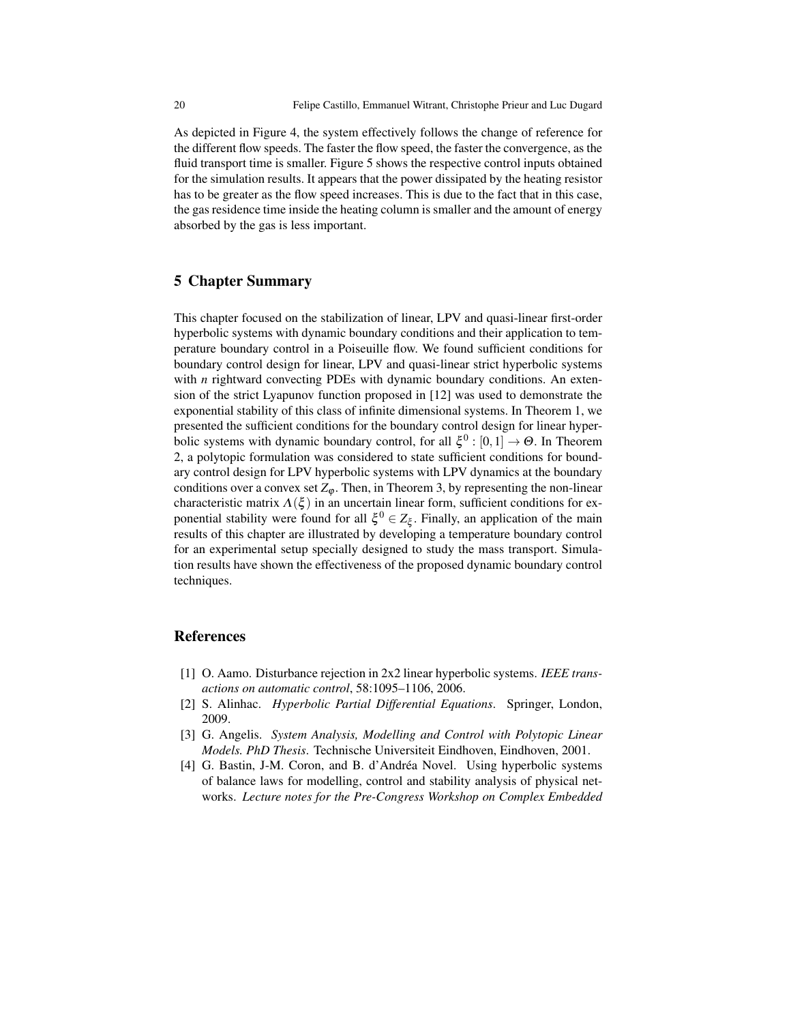As depicted in Figure 4, the system effectively follows the change of reference for the different flow speeds. The faster the flow speed, the faster the convergence, as the fluid transport time is smaller. Figure 5 shows the respective control inputs obtained for the simulation results. It appears that the power dissipated by the heating resistor has to be greater as the flow speed increases. This is due to the fact that in this case, the gas residence time inside the heating column is smaller and the amount of energy absorbed by the gas is less important.

# 5 Chapter Summary

This chapter focused on the stabilization of linear, LPV and quasi-linear first-order hyperbolic systems with dynamic boundary conditions and their application to temperature boundary control in a Poiseuille flow. We found sufficient conditions for boundary control design for linear, LPV and quasi-linear strict hyperbolic systems with *n* rightward convecting PDEs with dynamic boundary conditions. An extension of the strict Lyapunov function proposed in [12] was used to demonstrate the exponential stability of this class of infinite dimensional systems. In Theorem 1, we presented the sufficient conditions for the boundary control design for linear hyperbolic systems with dynamic boundary control, for all  $\xi^0$  :  $[0,1] \rightarrow \Theta$ . In Theorem 2, a polytopic formulation was considered to state sufficient conditions for boundary control design for LPV hyperbolic systems with LPV dynamics at the boundary conditions over a convex set  $Z_{\varphi}$ . Then, in Theorem 3, by representing the non-linear characteristic matrix  $\Lambda(\xi)$  in an uncertain linear form, sufficient conditions for exponential stability were found for all  $\xi^0 \in Z_{\xi}$ . Finally, an application of the main results of this chapter are illustrated by developing a temperature boundary control for an experimental setup specially designed to study the mass transport. Simulation results have shown the effectiveness of the proposed dynamic boundary control techniques.

#### References

- [1] O. Aamo. Disturbance rejection in 2x2 linear hyperbolic systems. *IEEE transactions on automatic control*, 58:1095–1106, 2006.
- [2] S. Alinhac. *Hyperbolic Partial Differential Equations*. Springer, London, 2009.
- [3] G. Angelis. *System Analysis, Modelling and Control with Polytopic Linear Models. PhD Thesis*. Technische Universiteit Eindhoven, Eindhoven, 2001.
- [4] G. Bastin, J-M. Coron, and B. d'Andréa Novel. Using hyperbolic systems of balance laws for modelling, control and stability analysis of physical networks. *Lecture notes for the Pre-Congress Workshop on Complex Embedded*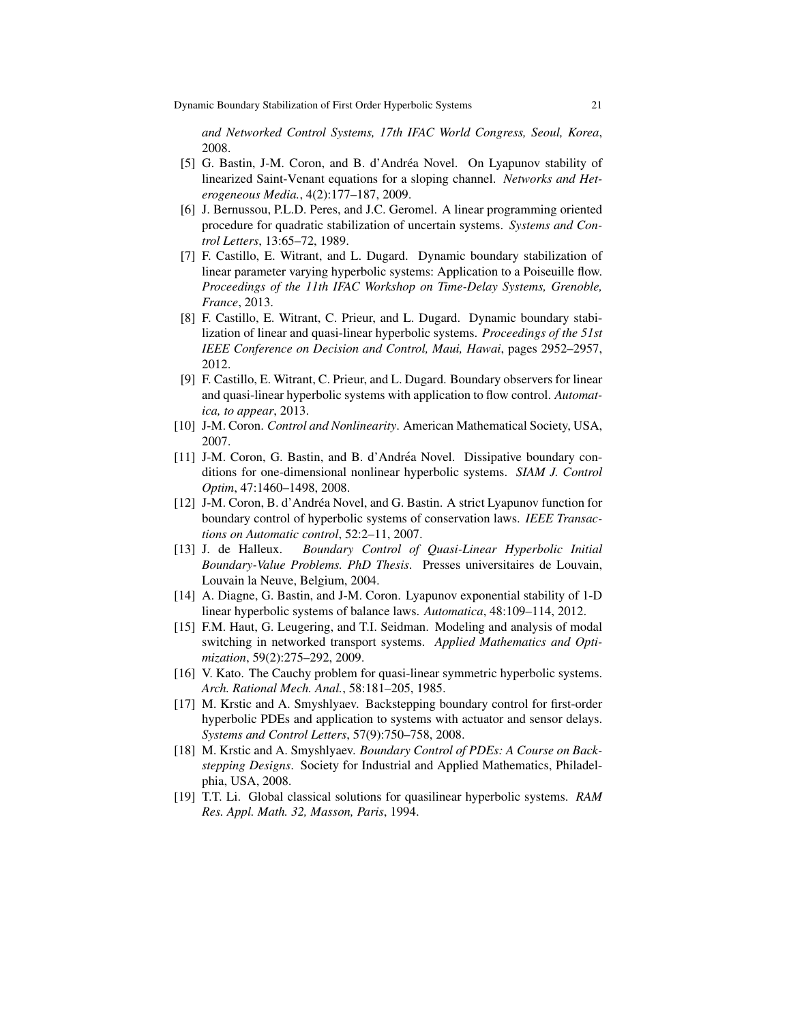*and Networked Control Systems, 17th IFAC World Congress, Seoul, Korea*, 2008.

- [5] G. Bastin, J-M. Coron, and B. d'Andrea Novel. On Lyapunov stability of ´ linearized Saint-Venant equations for a sloping channel. *Networks and Heterogeneous Media.*, 4(2):177–187, 2009.
- [6] J. Bernussou, P.L.D. Peres, and J.C. Geromel. A linear programming oriented procedure for quadratic stabilization of uncertain systems. *Systems and Control Letters*, 13:65–72, 1989.
- [7] F. Castillo, E. Witrant, and L. Dugard. Dynamic boundary stabilization of linear parameter varying hyperbolic systems: Application to a Poiseuille flow. *Proceedings of the 11th IFAC Workshop on Time-Delay Systems, Grenoble, France*, 2013.
- [8] F. Castillo, E. Witrant, C. Prieur, and L. Dugard. Dynamic boundary stabilization of linear and quasi-linear hyperbolic systems. *Proceedings of the 51st IEEE Conference on Decision and Control, Maui, Hawai*, pages 2952–2957, 2012.
- [9] F. Castillo, E. Witrant, C. Prieur, and L. Dugard. Boundary observers for linear and quasi-linear hyperbolic systems with application to flow control. *Automatica, to appear*, 2013.
- [10] J-M. Coron. *Control and Nonlinearity*. American Mathematical Society, USA, 2007.
- [11] J-M. Coron, G. Bastin, and B. d'Andrea Novel. Dissipative boundary con- ´ ditions for one-dimensional nonlinear hyperbolic systems. *SIAM J. Control Optim*, 47:1460–1498, 2008.
- [12] J-M. Coron, B. d'Andréa Novel, and G. Bastin. A strict Lyapunov function for boundary control of hyperbolic systems of conservation laws. *IEEE Transactions on Automatic control*, 52:2–11, 2007.
- [13] J. de Halleux. *Boundary Control of Quasi-Linear Hyperbolic Initial Boundary-Value Problems. PhD Thesis*. Presses universitaires de Louvain, Louvain la Neuve, Belgium, 2004.
- [14] A. Diagne, G. Bastin, and J-M. Coron. Lyapunov exponential stability of 1-D linear hyperbolic systems of balance laws. *Automatica*, 48:109–114, 2012.
- [15] F.M. Haut, G. Leugering, and T.I. Seidman. Modeling and analysis of modal switching in networked transport systems. *Applied Mathematics and Optimization*, 59(2):275–292, 2009.
- [16] V. Kato. The Cauchy problem for quasi-linear symmetric hyperbolic systems. *Arch. Rational Mech. Anal.*, 58:181–205, 1985.
- [17] M. Krstic and A. Smyshlyaev. Backstepping boundary control for first-order hyperbolic PDEs and application to systems with actuator and sensor delays. *Systems and Control Letters*, 57(9):750–758, 2008.
- [18] M. Krstic and A. Smyshlyaev. *Boundary Control of PDEs: A Course on Backstepping Designs*. Society for Industrial and Applied Mathematics, Philadelphia, USA, 2008.
- [19] T.T. Li. Global classical solutions for quasilinear hyperbolic systems. *RAM Res. Appl. Math. 32, Masson, Paris*, 1994.